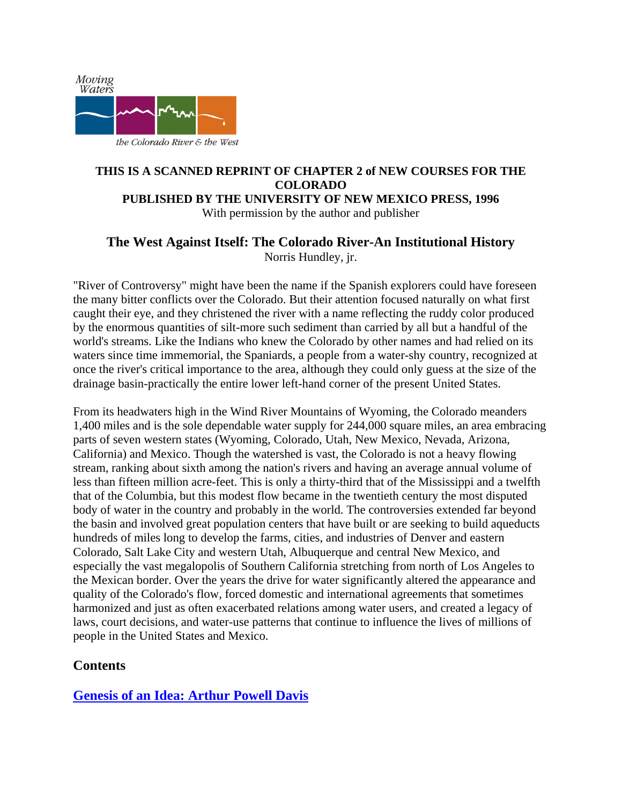

## **THIS IS A SCANNED REPRINT OF CHAPTER 2 of NEW COURSES FOR THE COLORADO PUBLISHED BY THE UNIVERSITY OF NEW MEXICO PRESS, 1996**  With permission by the author and publisher

# **The West Against Itself: The Colorado River-An Institutional History** Norris Hundley, jr.

"River of Controversy" might have been the name if the Spanish explorers could have foreseen the many bitter conflicts over the Colorado. But their attention focused naturally on what first caught their eye, and they christened the river with a name reflecting the ruddy color produced by the enormous quantities of silt-more such sediment than carried by all but a handful of the world's streams. Like the Indians who knew the Colorado by other names and had relied on its waters since time immemorial, the Spaniards, a people from a water-shy country, recognized at once the river's critical importance to the area, although they could only guess at the size of the drainage basin-practically the entire lower left-hand corner of the present United States.

From its headwaters high in the Wind River Mountains of Wyoming, the Colorado meanders 1,400 miles and is the sole dependable water supply for 244,000 square miles, an area embracing parts of seven western states (Wyoming, Colorado, Utah, New Mexico, Nevada, Arizona, California) and Mexico. Though the watershed is vast, the Colorado is not a heavy flowing stream, ranking about sixth among the nation's rivers and having an average annual volume of less than fifteen million acre-feet. This is only a thirty-third that of the Mississippi and a twelfth that of the Columbia, but this modest flow became in the twentieth century the most disputed body of water in the country and probably in the world. The controversies extended far beyond the basin and involved great population centers that have built or are seeking to build aqueducts hundreds of miles long to develop the farms, cities, and industries of Denver and eastern Colorado, Salt Lake City and western Utah, Albuquerque and central New Mexico, and especially the vast megalopolis of Southern California stretching from north of Los Angeles to the Mexican border. Over the years the drive for water significantly altered the appearance and quality of the Colorado's flow, forced domestic and international agreements that sometimes harmonized and just as often exacerbated relations among water users, and created a legacy of laws, court decisions, and water-use patterns that continue to influence the lives of millions of people in the United States and Mexico.

# **Contents**

# **Genesis of an Idea: Arthur Powell Davis**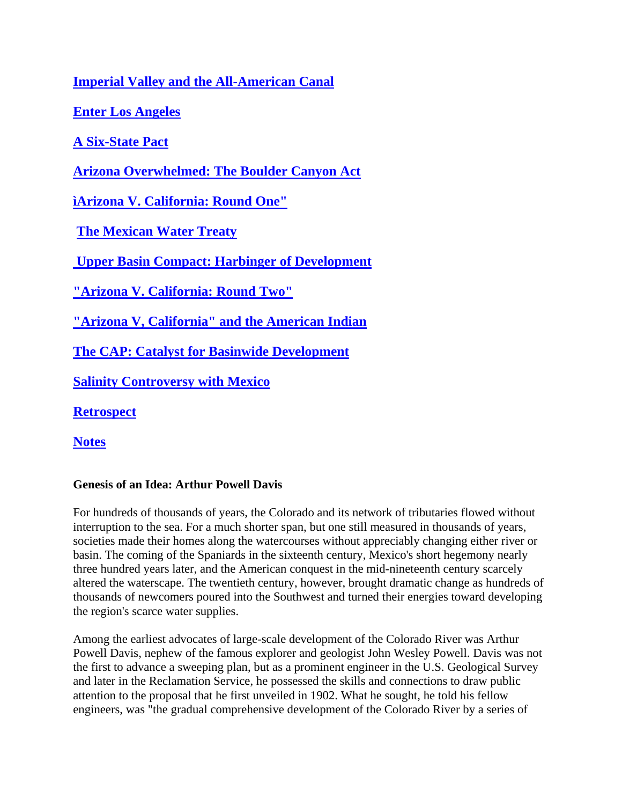**Imperial Valley and the All-American Canal**

**Enter Los Angeles**

**A Six-State Pact**

**Arizona Overwhelmed: The Boulder Canyon Act**

**ìArizona V. California: Round One"**

**The Mexican Water Treaty**

 **Upper Basin Compact: Harbinger of Development**

**"Arizona V. California: Round Two"**

**"Arizona V, California" and the American Indian**

**The CAP: Catalyst for Basinwide Development**

**Salinity Controversy with Mexico**

**Retrospect**

**Notes**

# **Genesis of an Idea: Arthur Powell Davis**

For hundreds of thousands of years, the Colorado and its network of tributaries flowed without interruption to the sea. For a much shorter span, but one still measured in thousands of years, societies made their homes along the watercourses without appreciably changing either river or basin. The coming of the Spaniards in the sixteenth century, Mexico's short hegemony nearly three hundred years later, and the American conquest in the mid-nineteenth century scarcely altered the waterscape. The twentieth century, however, brought dramatic change as hundreds of thousands of newcomers poured into the Southwest and turned their energies toward developing the region's scarce water supplies.

Among the earliest advocates of large-scale development of the Colorado River was Arthur Powell Davis, nephew of the famous explorer and geologist John Wesley Powell. Davis was not the first to advance a sweeping plan, but as a prominent engineer in the U.S. Geological Survey and later in the Reclamation Service, he possessed the skills and connections to draw public attention to the proposal that he first unveiled in 1902. What he sought, he told his fellow engineers, was "the gradual comprehensive development of the Colorado River by a series of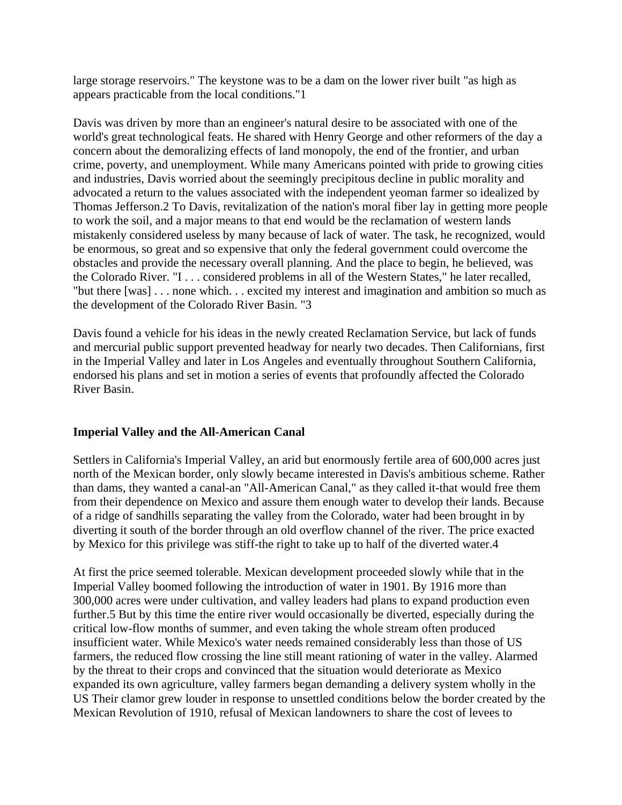large storage reservoirs." The keystone was to be a dam on the lower river built "as high as appears practicable from the local conditions."1

Davis was driven by more than an engineer's natural desire to be associated with one of the world's great technological feats. He shared with Henry George and other reformers of the day a concern about the demoralizing effects of land monopoly, the end of the frontier, and urban crime, poverty, and unemployment. While many Americans pointed with pride to growing cities and industries, Davis worried about the seemingly precipitous decline in public morality and advocated a return to the values associated with the independent yeoman farmer so idealized by Thomas Jefferson.2 To Davis, revitalization of the nation's moral fiber lay in getting more people to work the soil, and a major means to that end would be the reclamation of western lands mistakenly considered useless by many because of lack of water. The task, he recognized, would be enormous, so great and so expensive that only the federal government could overcome the obstacles and provide the necessary overall planning. And the place to begin, he believed, was the Colorado River. "I . . . considered problems in all of the Western States," he later recalled, "but there [was] . . . none which. . . excited my interest and imagination and ambition so much as the development of the Colorado River Basin. "3

Davis found a vehicle for his ideas in the newly created Reclamation Service, but lack of funds and mercurial public support prevented headway for nearly two decades. Then Californians, first in the Imperial Valley and later in Los Angeles and eventually throughout Southern California, endorsed his plans and set in motion a series of events that profoundly affected the Colorado River Basin.

## **Imperial Valley and the All-American Canal**

Settlers in California's Imperial Valley, an arid but enormously fertile area of 600,000 acres just north of the Mexican border, only slowly became interested in Davis's ambitious scheme. Rather than dams, they wanted a canal-an "All-American Canal," as they called it-that would free them from their dependence on Mexico and assure them enough water to develop their lands. Because of a ridge of sandhills separating the valley from the Colorado, water had been brought in by diverting it south of the border through an old overflow channel of the river. The price exacted by Mexico for this privilege was stiff-the right to take up to half of the diverted water.4

At first the price seemed tolerable. Mexican development proceeded slowly while that in the Imperial Valley boomed following the introduction of water in 1901. By 1916 more than 300,000 acres were under cultivation, and valley leaders had plans to expand production even further.5 But by this time the entire river would occasionally be diverted, especially during the critical low-flow months of summer, and even taking the whole stream often produced insufficient water. While Mexico's water needs remained considerably less than those of US farmers, the reduced flow crossing the line still meant rationing of water in the valley. Alarmed by the threat to their crops and convinced that the situation would deteriorate as Mexico expanded its own agriculture, valley farmers began demanding a delivery system wholly in the US Their clamor grew louder in response to unsettled conditions below the border created by the Mexican Revolution of 1910, refusal of Mexican landowners to share the cost of levees to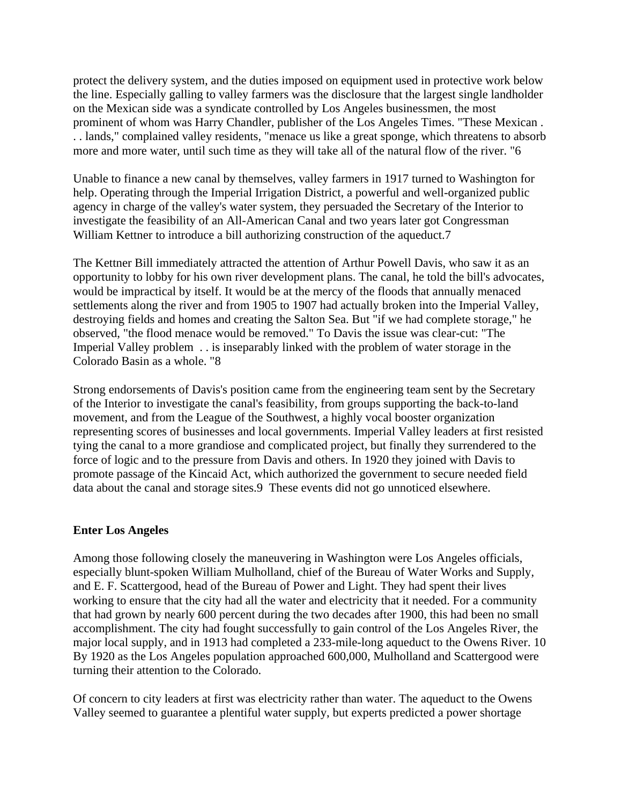protect the delivery system, and the duties imposed on equipment used in protective work below the line. Especially galling to valley farmers was the disclosure that the largest single landholder on the Mexican side was a syndicate controlled by Los Angeles businessmen, the most prominent of whom was Harry Chandler, publisher of the Los Angeles Times. "These Mexican . . . lands," complained valley residents, "menace us like a great sponge, which threatens to absorb more and more water, until such time as they will take all of the natural flow of the river. "6

Unable to finance a new canal by themselves, valley farmers in 1917 turned to Washington for help. Operating through the Imperial Irrigation District, a powerful and well-organized public agency in charge of the valley's water system, they persuaded the Secretary of the Interior to investigate the feasibility of an All-American Canal and two years later got Congressman William Kettner to introduce a bill authorizing construction of the aqueduct.7

The Kettner Bill immediately attracted the attention of Arthur Powell Davis, who saw it as an opportunity to lobby for his own river development plans. The canal, he told the bill's advocates, would be impractical by itself. It would be at the mercy of the floods that annually menaced settlements along the river and from 1905 to 1907 had actually broken into the Imperial Valley, destroying fields and homes and creating the Salton Sea. But "if we had complete storage," he observed, "the flood menace would be removed." To Davis the issue was clear-cut: "The Imperial Valley problem . . is inseparably linked with the problem of water storage in the Colorado Basin as a whole. "8

Strong endorsements of Davis's position came from the engineering team sent by the Secretary of the Interior to investigate the canal's feasibility, from groups supporting the back-to-land movement, and from the League of the Southwest, a highly vocal booster organization representing scores of businesses and local governments. Imperial Valley leaders at first resisted tying the canal to a more grandiose and complicated project, but finally they surrendered to the force of logic and to the pressure from Davis and others. In 1920 they joined with Davis to promote passage of the Kincaid Act, which authorized the government to secure needed field data about the canal and storage sites.9 These events did not go unnoticed elsewhere.

## **Enter Los Angeles**

Among those following closely the maneuvering in Washington were Los Angeles officials, especially blunt-spoken William Mulholland, chief of the Bureau of Water Works and Supply, and E. F. Scattergood, head of the Bureau of Power and Light. They had spent their lives working to ensure that the city had all the water and electricity that it needed. For a community that had grown by nearly 600 percent during the two decades after 1900, this had been no small accomplishment. The city had fought successfully to gain control of the Los Angeles River, the major local supply, and in 1913 had completed a 233-mile-long aqueduct to the Owens River. 10 By 1920 as the Los Angeles population approached 600,000, Mulholland and Scattergood were turning their attention to the Colorado.

Of concern to city leaders at first was electricity rather than water. The aqueduct to the Owens Valley seemed to guarantee a plentiful water supply, but experts predicted a power shortage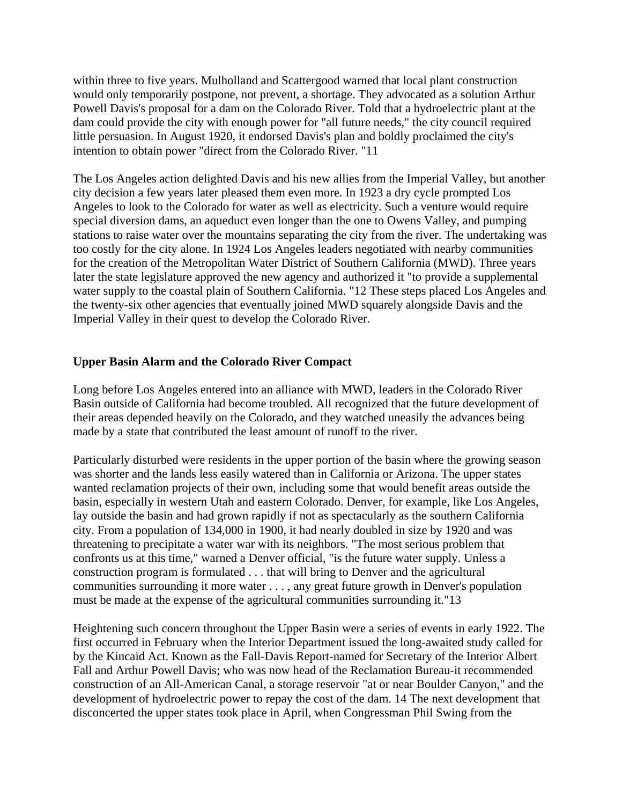within three to five years. Mulholland and Scattergood warned that local plant construction would only temporarily postpone, not prevent, a shortage. They advocated as a solution Arthur Powell Davis's proposal for a dam on the Colorado River. Told that a hydroelectric plant at the dam could provide the city with enough power for "all future needs," the city council required little persuasion. In August 1920, it endorsed Davis's plan and boldly proclaimed the city's intention to obtain power "direct from the Colorado River. "11

The Los Angeles action delighted Davis and his new allies from the Imperial Valley, but another city decision a few years later pleased them even more. In 1923 a dry cycle prompted Los Angeles to look to the Colorado for water as well as electricity. Such a venture would require special diversion dams, an aqueduct even longer than the one to Owens Valley, and pumping stations to raise water over the mountains separating the city from the river. The undertaking was too costly for the city alone. In 1924 Los Angeles leaders negotiated with nearby communities for the creation of the Metropolitan Water District of Southern California (MWD). Three years later the state legislature approved the new agency and authorized it "to provide a supplemental water supply to the coastal plain of Southern California. "12 These steps placed Los Angeles and the twenty-six other agencies that eventually joined MWD squarely alongside Davis and the Imperial Valley in their quest to develop the Colorado River.

## **Upper Basin Alarm and the Colorado River Compact**

Long before Los Angeles entered into an alliance with MWD, leaders in the Colorado River Basin outside of California had become troubled. All recognized that the future development of their areas depended heavily on the Colorado, and they watched uneasily the advances being made by a state that contributed the least amount of runoff to the river.

Particularly disturbed were residents in the upper portion of the basin where the growing season was shorter and the lands less easily watered than in California or Arizona. The upper states wanted reclamation projects of their own, including some that would benefit areas outside the basin, especially in western Utah and eastern Colorado. Denver, for example, like Los Angeles, lay outside the basin and had grown rapidly if not as spectacularly as the southern California city. From a population of 134,000 in 1900, it had nearly doubled in size by 1920 and was threatening to precipitate a water war with its neighbors. "The most serious problem that confronts us at this time," warned a Denver official, "is the future water supply. Unless a construction program is formulated . . . that will bring to Denver and the agricultural communities surrounding it more water . . . , any great future growth in Denver's population must be made at the expense of the agricultural communities surrounding it."13

Heightening such concern throughout the Upper Basin were a series of events in early 1922. The first occurred in February when the Interior Department issued the long-awaited study called for by the Kincaid Act. Known as the Fall-Davis Report-named for Secretary of the Interior Albert Fall and Arthur Powell Davis; who was now head of the Reclamation Bureau-it recommended construction of an All-American Canal, a storage reservoir "at or near Boulder Canyon," and the development of hydroelectric power to repay the cost of the dam. 14 The next development that disconcerted the upper states took place in April, when Congressman Phil Swing from the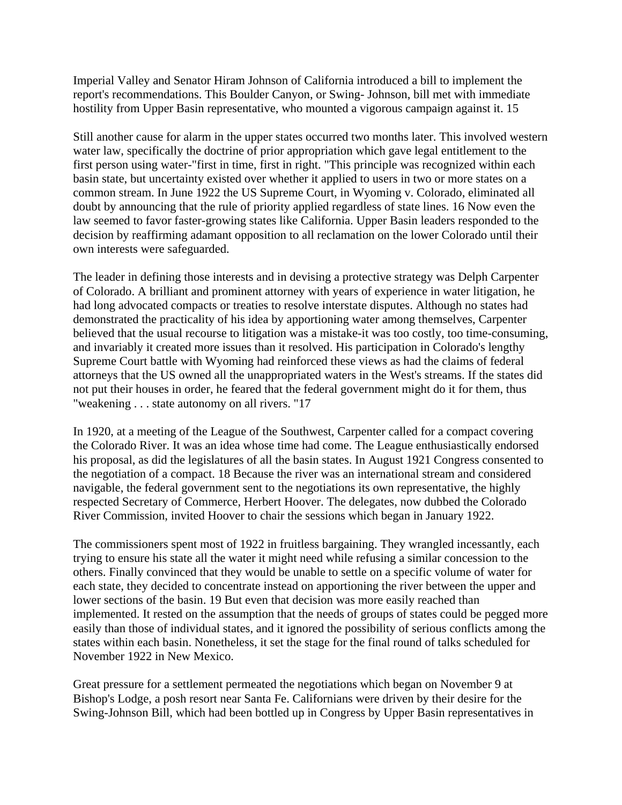Imperial Valley and Senator Hiram Johnson of California introduced a bill to implement the report's recommendations. This Boulder Canyon, or Swing- Johnson, bill met with immediate hostility from Upper Basin representative, who mounted a vigorous campaign against it. 15

Still another cause for alarm in the upper states occurred two months later. This involved western water law, specifically the doctrine of prior appropriation which gave legal entitlement to the first person using water-"first in time, first in right. "This principle was recognized within each basin state, but uncertainty existed over whether it applied to users in two or more states on a common stream. In June 1922 the US Supreme Court, in Wyoming v. Colorado, eliminated all doubt by announcing that the rule of priority applied regardless of state lines. 16 Now even the law seemed to favor faster-growing states like California. Upper Basin leaders responded to the decision by reaffirming adamant opposition to all reclamation on the lower Colorado until their own interests were safeguarded.

The leader in defining those interests and in devising a protective strategy was Delph Carpenter of Colorado. A brilliant and prominent attorney with years of experience in water litigation, he had long advocated compacts or treaties to resolve interstate disputes. Although no states had demonstrated the practicality of his idea by apportioning water among themselves, Carpenter believed that the usual recourse to litigation was a mistake-it was too costly, too time-consuming, and invariably it created more issues than it resolved. His participation in Colorado's lengthy Supreme Court battle with Wyoming had reinforced these views as had the claims of federal attorneys that the US owned all the unappropriated waters in the West's streams. If the states did not put their houses in order, he feared that the federal government might do it for them, thus "weakening . . . state autonomy on all rivers. "17

In 1920, at a meeting of the League of the Southwest, Carpenter called for a compact covering the Colorado River. It was an idea whose time had come. The League enthusiastically endorsed his proposal, as did the legislatures of all the basin states. In August 1921 Congress consented to the negotiation of a compact. 18 Because the river was an international stream and considered navigable, the federal government sent to the negotiations its own representative, the highly respected Secretary of Commerce, Herbert Hoover. The delegates, now dubbed the Colorado River Commission, invited Hoover to chair the sessions which began in January 1922.

The commissioners spent most of 1922 in fruitless bargaining. They wrangled incessantly, each trying to ensure his state all the water it might need while refusing a similar concession to the others. Finally convinced that they would be unable to settle on a specific volume of water for each state, they decided to concentrate instead on apportioning the river between the upper and lower sections of the basin. 19 But even that decision was more easily reached than implemented. It rested on the assumption that the needs of groups of states could be pegged more easily than those of individual states, and it ignored the possibility of serious conflicts among the states within each basin. Nonetheless, it set the stage for the final round of talks scheduled for November 1922 in New Mexico.

Great pressure for a settlement permeated the negotiations which began on November 9 at Bishop's Lodge, a posh resort near Santa Fe. Californians were driven by their desire for the Swing-Johnson Bill, which had been bottled up in Congress by Upper Basin representatives in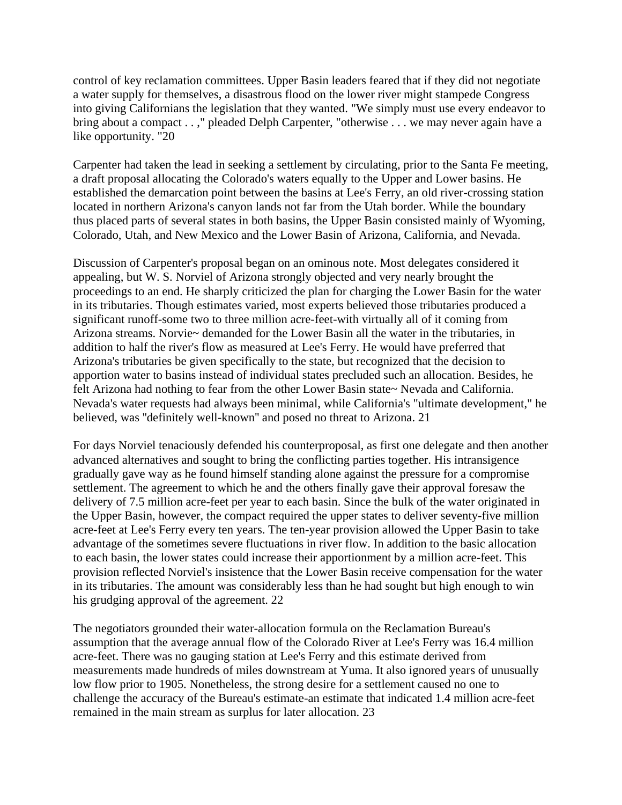control of key reclamation committees. Upper Basin leaders feared that if they did not negotiate a water supply for themselves, a disastrous flood on the lower river might stampede Congress into giving Californians the legislation that they wanted. "We simply must use every endeavor to bring about a compact . . ," pleaded Delph Carpenter, "otherwise . . . we may never again have a like opportunity. "20

Carpenter had taken the lead in seeking a settlement by circulating, prior to the Santa Fe meeting, a draft proposal allocating the Colorado's waters equally to the Upper and Lower basins. He established the demarcation point between the basins at Lee's Ferry, an old river-crossing station located in northern Arizona's canyon lands not far from the Utah border. While the boundary thus placed parts of several states in both basins, the Upper Basin consisted mainly of Wyoming, Colorado, Utah, and New Mexico and the Lower Basin of Arizona, California, and Nevada.

Discussion of Carpenter's proposal began on an ominous note. Most delegates considered it appealing, but W. S. Norviel of Arizona strongly objected and very nearly brought the proceedings to an end. He sharply criticized the plan for charging the Lower Basin for the water in its tributaries. Though estimates varied, most experts believed those tributaries produced a significant runoff-some two to three million acre-feet-with virtually all of it coming from Arizona streams. Norvie~ demanded for the Lower Basin all the water in the tributaries, in addition to half the river's flow as measured at Lee's Ferry. He would have preferred that Arizona's tributaries be given specifically to the state, but recognized that the decision to apportion water to basins instead of individual states precluded such an allocation. Besides, he felt Arizona had nothing to fear from the other Lower Basin state~ Nevada and California. Nevada's water requests had always been minimal, while California's "ultimate development," he believed, was ''definitely well-known'' and posed no threat to Arizona. 21

For days Norviel tenaciously defended his counterproposal, as first one delegate and then another advanced alternatives and sought to bring the conflicting parties together. His intransigence gradually gave way as he found himself standing alone against the pressure for a compromise settlement. The agreement to which he and the others finally gave their approval foresaw the delivery of 7.5 million acre-feet per year to each basin. Since the bulk of the water originated in the Upper Basin, however, the compact required the upper states to deliver seventy-five million acre-feet at Lee's Ferry every ten years. The ten-year provision allowed the Upper Basin to take advantage of the sometimes severe fluctuations in river flow. In addition to the basic allocation to each basin, the lower states could increase their apportionment by a million acre-feet. This provision reflected Norviel's insistence that the Lower Basin receive compensation for the water in its tributaries. The amount was considerably less than he had sought but high enough to win his grudging approval of the agreement. 22

The negotiators grounded their water-allocation formula on the Reclamation Bureau's assumption that the average annual flow of the Colorado River at Lee's Ferry was 16.4 million acre-feet. There was no gauging station at Lee's Ferry and this estimate derived from measurements made hundreds of miles downstream at Yuma. It also ignored years of unusually low flow prior to 1905. Nonetheless, the strong desire for a settlement caused no one to challenge the accuracy of the Bureau's estimate-an estimate that indicated 1.4 million acre-feet remained in the main stream as surplus for later allocation. 23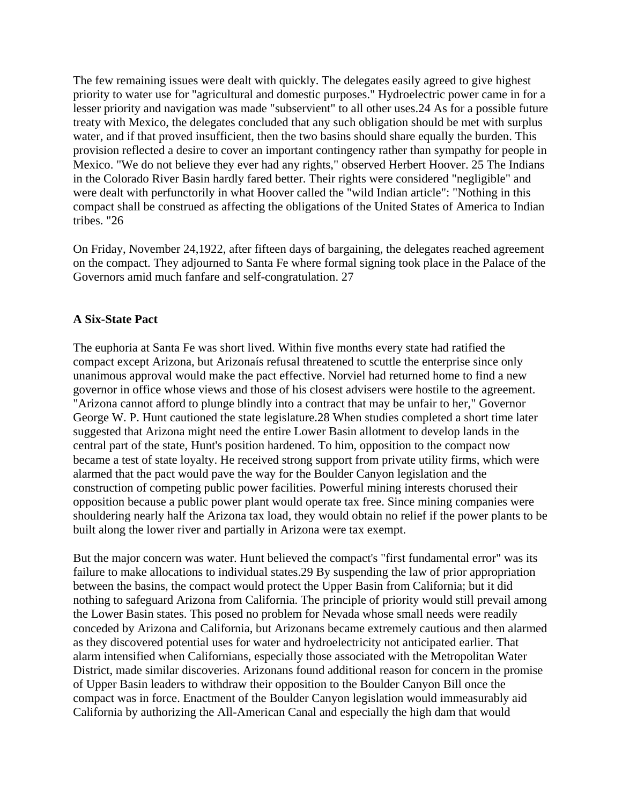The few remaining issues were dealt with quickly. The delegates easily agreed to give highest priority to water use for "agricultural and domestic purposes." Hydroelectric power came in for a lesser priority and navigation was made "subservient" to all other uses.24 As for a possible future treaty with Mexico, the delegates concluded that any such obligation should be met with surplus water, and if that proved insufficient, then the two basins should share equally the burden. This provision reflected a desire to cover an important contingency rather than sympathy for people in Mexico. "We do not believe they ever had any rights," observed Herbert Hoover. 25 The Indians in the Colorado River Basin hardly fared better. Their rights were considered "negligible" and were dealt with perfunctorily in what Hoover called the "wild Indian article": "Nothing in this compact shall be construed as affecting the obligations of the United States of America to Indian tribes. "26

On Friday, November 24,1922, after fifteen days of bargaining, the delegates reached agreement on the compact. They adjourned to Santa Fe where formal signing took place in the Palace of the Governors amid much fanfare and self-congratulation. 27

## **A Six-State Pact**

The euphoria at Santa Fe was short lived. Within five months every state had ratified the compact except Arizona, but Arizonaís refusal threatened to scuttle the enterprise since only unanimous approval would make the pact effective. Norviel had returned home to find a new governor in office whose views and those of his closest advisers were hostile to the agreement. "Arizona cannot afford to plunge blindly into a contract that may be unfair to her," Governor George W. P. Hunt cautioned the state legislature.28 When studies completed a short time later suggested that Arizona might need the entire Lower Basin allotment to develop lands in the central part of the state, Hunt's position hardened. To him, opposition to the compact now became a test of state loyalty. He received strong support from private utility firms, which were alarmed that the pact would pave the way for the Boulder Canyon legislation and the construction of competing public power facilities. Powerful mining interests chorused their opposition because a public power plant would operate tax free. Since mining companies were shouldering nearly half the Arizona tax load, they would obtain no relief if the power plants to be built along the lower river and partially in Arizona were tax exempt.

But the major concern was water. Hunt believed the compact's "first fundamental error" was its failure to make allocations to individual states.29 By suspending the law of prior appropriation between the basins, the compact would protect the Upper Basin from California; but it did nothing to safeguard Arizona from California. The principle of priority would still prevail among the Lower Basin states. This posed no problem for Nevada whose small needs were readily conceded by Arizona and California, but Arizonans became extremely cautious and then alarmed as they discovered potential uses for water and hydroelectricity not anticipated earlier. That alarm intensified when Californians, especially those associated with the Metropolitan Water District, made similar discoveries. Arizonans found additional reason for concern in the promise of Upper Basin leaders to withdraw their opposition to the Boulder Canyon Bill once the compact was in force. Enactment of the Boulder Canyon legislation would immeasurably aid California by authorizing the All-American Canal and especially the high dam that would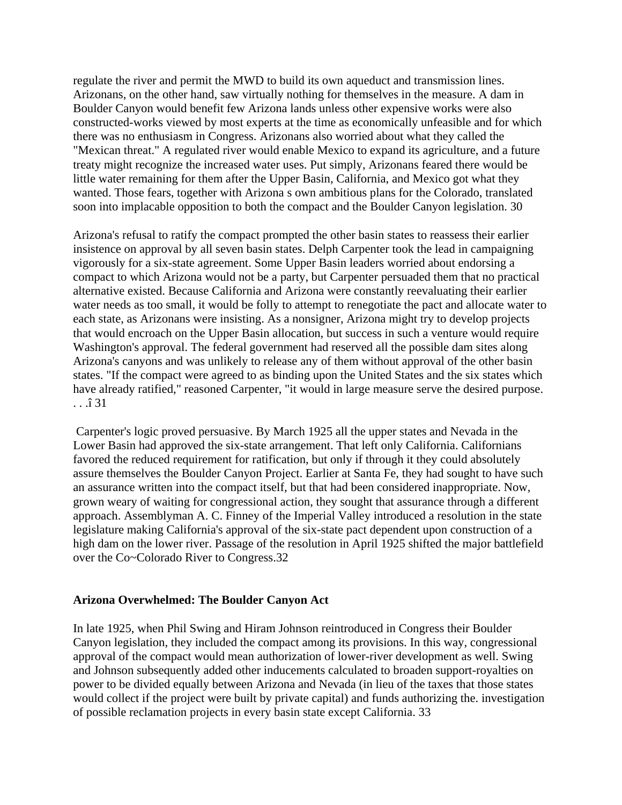regulate the river and permit the MWD to build its own aqueduct and transmission lines. Arizonans, on the other hand, saw virtually nothing for themselves in the measure. A dam in Boulder Canyon would benefit few Arizona lands unless other expensive works were also constructed-works viewed by most experts at the time as economically unfeasible and for which there was no enthusiasm in Congress. Arizonans also worried about what they called the "Mexican threat." A regulated river would enable Mexico to expand its agriculture, and a future treaty might recognize the increased water uses. Put simply, Arizonans feared there would be little water remaining for them after the Upper Basin, California, and Mexico got what they wanted. Those fears, together with Arizona s own ambitious plans for the Colorado, translated soon into implacable opposition to both the compact and the Boulder Canyon legislation. 30

Arizona's refusal to ratify the compact prompted the other basin states to reassess their earlier insistence on approval by all seven basin states. Delph Carpenter took the lead in campaigning vigorously for a six-state agreement. Some Upper Basin leaders worried about endorsing a compact to which Arizona would not be a party, but Carpenter persuaded them that no practical alternative existed. Because California and Arizona were constantly reevaluating their earlier water needs as too small, it would be folly to attempt to renegotiate the pact and allocate water to each state, as Arizonans were insisting. As a nonsigner, Arizona might try to develop projects that would encroach on the Upper Basin allocation, but success in such a venture would require Washington's approval. The federal government had reserved all the possible dam sites along Arizona's canyons and was unlikely to release any of them without approval of the other basin states. "If the compact were agreed to as binding upon the United States and the six states which have already ratified," reasoned Carpenter, "it would in large measure serve the desired purpose. . . .î 31

 Carpenter's logic proved persuasive. By March 1925 all the upper states and Nevada in the Lower Basin had approved the six-state arrangement. That left only California. Californians favored the reduced requirement for ratification, but only if through it they could absolutely assure themselves the Boulder Canyon Project. Earlier at Santa Fe, they had sought to have such an assurance written into the compact itself, but that had been considered inappropriate. Now, grown weary of waiting for congressional action, they sought that assurance through a different approach. Assemblyman A. C. Finney of the Imperial Valley introduced a resolution in the state legislature making California's approval of the six-state pact dependent upon construction of a high dam on the lower river. Passage of the resolution in April 1925 shifted the major battlefield over the Co~Colorado River to Congress.32

### **Arizona Overwhelmed: The Boulder Canyon Act**

In late 1925, when Phil Swing and Hiram Johnson reintroduced in Congress their Boulder Canyon legislation, they included the compact among its provisions. In this way, congressional approval of the compact would mean authorization of lower-river development as well. Swing and Johnson subsequently added other inducements calculated to broaden support-royalties on power to be divided equally between Arizona and Nevada (in lieu of the taxes that those states would collect if the project were built by private capital) and funds authorizing the. investigation of possible reclamation projects in every basin state except California. 33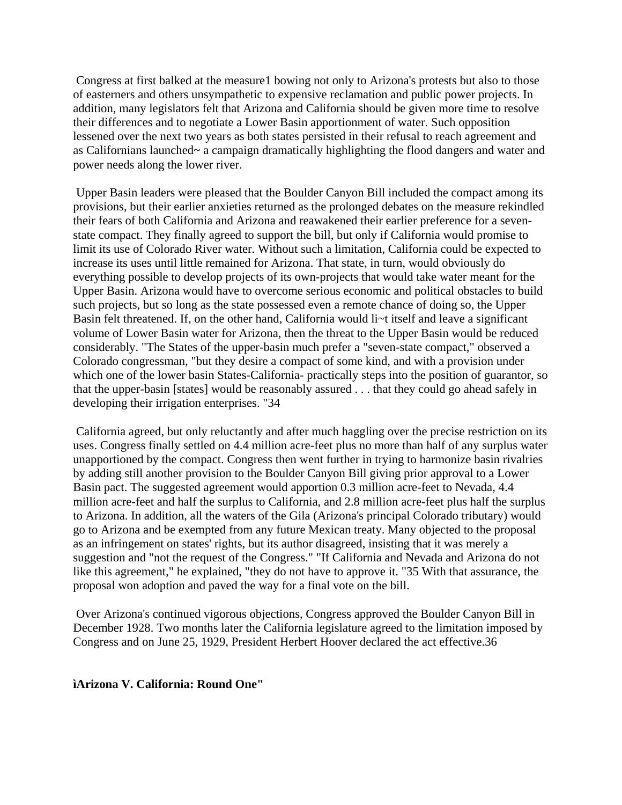Congress at first balked at the measure1 bowing not only to Arizona's protests but also to those of easterners and others unsympathetic to expensive reclamation and public power projects. In addition, many legislators felt that Arizona and California should be given more time to resolve their differences and to negotiate a Lower Basin apportionment of water. Such opposition lessened over the next two years as both states persisted in their refusal to reach agreement and as Californians launched~ a campaign dramatically highlighting the flood dangers and water and power needs along the lower river.

 Upper Basin leaders were pleased that the Boulder Canyon Bill included the compact among its provisions, but their earlier anxieties returned as the prolonged debates on the measure rekindled their fears of both California and Arizona and reawakened their earlier preference for a sevenstate compact. They finally agreed to support the bill, but only if California would promise to limit its use of Colorado River water. Without such a limitation, California could be expected to increase its uses until little remained for Arizona. That state, in turn, would obviously do everything possible to develop projects of its own-projects that would take water meant for the Upper Basin. Arizona would have to overcome serious economic and political obstacles to build such projects, but so long as the state possessed even a remote chance of doing so, the Upper Basin felt threatened. If, on the other hand, California would li~t itself and leave a significant volume of Lower Basin water for Arizona, then the threat to the Upper Basin would be reduced considerably. "The States of the upper-basin much prefer a "seven-state compact," observed a Colorado congressman, "but they desire a compact of some kind, and with a provision under which one of the lower basin States-California- practically steps into the position of guarantor, so that the upper-basin [states] would be reasonably assured . . . that they could go ahead safely in developing their irrigation enterprises. "34

 California agreed, but only reluctantly and after much haggling over the precise restriction on its uses. Congress finally settled on 4.4 million acre-feet plus no more than half of any surplus water unapportioned by the compact. Congress then went further in trying to harmonize basin rivalries by adding still another provision to the Boulder Canyon Bill giving prior approval to a Lower Basin pact. The suggested agreement would apportion 0.3 million acre-feet to Nevada, 4.4 million acre-feet and half the surplus to California, and 2.8 million acre-feet plus half the surplus to Arizona. In addition, all the waters of the Gila (Arizona's principal Colorado tributary) would go to Arizona and be exempted from any future Mexican treaty. Many objected to the proposal as an infringement on states' rights, but its author disagreed, insisting that it was merely a suggestion and "not the request of the Congress." "If California and Nevada and Arizona do not like this agreement," he explained, "they do not have to approve it. "35 With that assurance, the proposal won adoption and paved the way for a final vote on the bill.

 Over Arizona's continued vigorous objections, Congress approved the Boulder Canyon Bill in December 1928. Two months later the California legislature agreed to the limitation imposed by Congress and on June 25, 1929, President Herbert Hoover declared the act effective.36

### **ìArizona V. California: Round One"**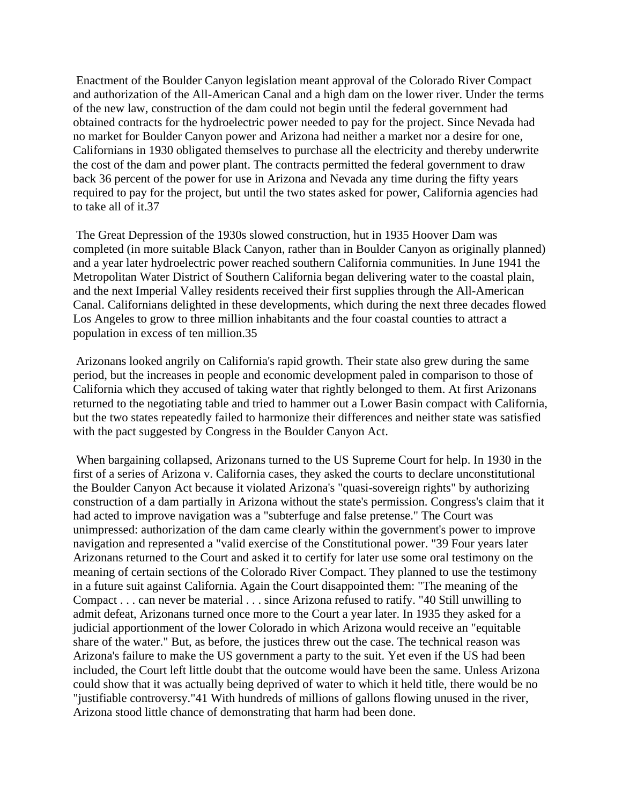Enactment of the Boulder Canyon legislation meant approval of the Colorado River Compact and authorization of the All-American Canal and a high dam on the lower river. Under the terms of the new law, construction of the dam could not begin until the federal government had obtained contracts for the hydroelectric power needed to pay for the project. Since Nevada had no market for Boulder Canyon power and Arizona had neither a market nor a desire for one, Californians in 1930 obligated themselves to purchase all the electricity and thereby underwrite the cost of the dam and power plant. The contracts permitted the federal government to draw back 36 percent of the power for use in Arizona and Nevada any time during the fifty years required to pay for the project, but until the two states asked for power, California agencies had to take all of it.37

 The Great Depression of the 1930s slowed construction, hut in 1935 Hoover Dam was completed (in more suitable Black Canyon, rather than in Boulder Canyon as originally planned) and a year later hydroelectric power reached southern California communities. In June 1941 the Metropolitan Water District of Southern California began delivering water to the coastal plain, and the next Imperial Valley residents received their first supplies through the All-American Canal. Californians delighted in these developments, which during the next three decades flowed Los Angeles to grow to three million inhabitants and the four coastal counties to attract a population in excess of ten million.35

 Arizonans looked angrily on California's rapid growth. Their state also grew during the same period, but the increases in people and economic development paled in comparison to those of California which they accused of taking water that rightly belonged to them. At first Arizonans returned to the negotiating table and tried to hammer out a Lower Basin compact with California, but the two states repeatedly failed to harmonize their differences and neither state was satisfied with the pact suggested by Congress in the Boulder Canyon Act.

 When bargaining collapsed, Arizonans turned to the US Supreme Court for help. In 1930 in the first of a series of Arizona v. California cases, they asked the courts to declare unconstitutional the Boulder Canyon Act because it violated Arizona's "quasi-sovereign rights" by authorizing construction of a dam partially in Arizona without the state's permission. Congress's claim that it had acted to improve navigation was a "subterfuge and false pretense." The Court was unimpressed: authorization of the dam came clearly within the government's power to improve navigation and represented a "valid exercise of the Constitutional power. "39 Four years later Arizonans returned to the Court and asked it to certify for later use some oral testimony on the meaning of certain sections of the Colorado River Compact. They planned to use the testimony in a future suit against California. Again the Court disappointed them: "The meaning of the Compact . . . can never be material . . . since Arizona refused to ratify. "40 Still unwilling to admit defeat, Arizonans turned once more to the Court a year later. In 1935 they asked for a judicial apportionment of the lower Colorado in which Arizona would receive an "equitable share of the water." But, as before, the justices threw out the case. The technical reason was Arizona's failure to make the US government a party to the suit. Yet even if the US had been included, the Court left little doubt that the outcome would have been the same. Unless Arizona could show that it was actually being deprived of water to which it held title, there would be no "justifiable controversy."41 With hundreds of millions of gallons flowing unused in the river, Arizona stood little chance of demonstrating that harm had been done.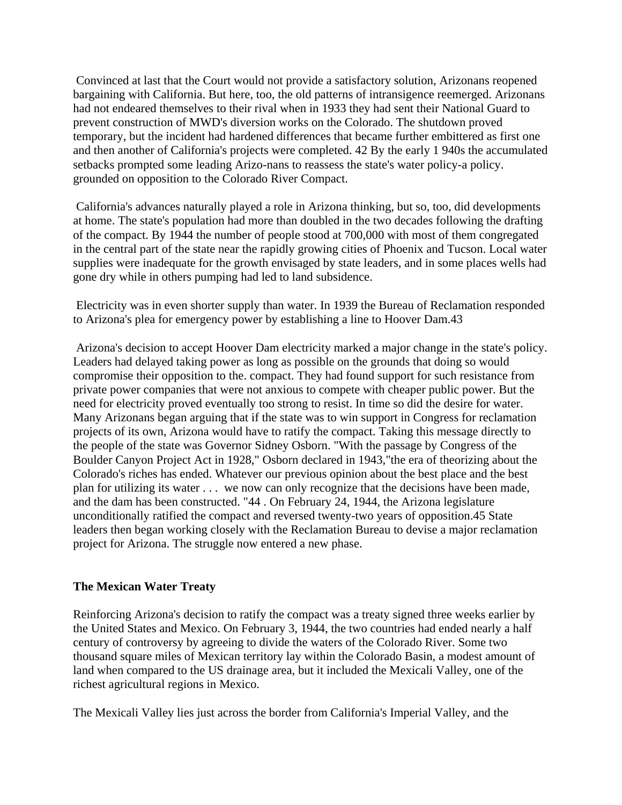Convinced at last that the Court would not provide a satisfactory solution, Arizonans reopened bargaining with California. But here, too, the old patterns of intransigence reemerged. Arizonans had not endeared themselves to their rival when in 1933 they had sent their National Guard to prevent construction of MWD's diversion works on the Colorado. The shutdown proved temporary, but the incident had hardened differences that became further embittered as first one and then another of California's projects were completed. 42 By the early 1 940s the accumulated setbacks prompted some leading Arizo-nans to reassess the state's water policy-a policy. grounded on opposition to the Colorado River Compact.

 California's advances naturally played a role in Arizona thinking, but so, too, did developments at home. The state's population had more than doubled in the two decades following the drafting of the compact. By 1944 the number of people stood at 700,000 with most of them congregated in the central part of the state near the rapidly growing cities of Phoenix and Tucson. Local water supplies were inadequate for the growth envisaged by state leaders, and in some places wells had gone dry while in others pumping had led to land subsidence.

 Electricity was in even shorter supply than water. In 1939 the Bureau of Reclamation responded to Arizona's plea for emergency power by establishing a line to Hoover Dam.43

 Arizona's decision to accept Hoover Dam electricity marked a major change in the state's policy. Leaders had delayed taking power as long as possible on the grounds that doing so would compromise their opposition to the. compact. They had found support for such resistance from private power companies that were not anxious to compete with cheaper public power. But the need for electricity proved eventually too strong to resist. In time so did the desire for water. Many Arizonans began arguing that if the state was to win support in Congress for reclamation projects of its own, Arizona would have to ratify the compact. Taking this message directly to the people of the state was Governor Sidney Osborn. "With the passage by Congress of the Boulder Canyon Project Act in 1928," Osborn declared in 1943,"the era of theorizing about the Colorado's riches has ended. Whatever our previous opinion about the best place and the best plan for utilizing its water . . . we now can only recognize that the decisions have been made, and the dam has been constructed. "44 . On February 24, 1944, the Arizona legislature unconditionally ratified the compact and reversed twenty-two years of opposition.45 State leaders then began working closely with the Reclamation Bureau to devise a major reclamation project for Arizona. The struggle now entered a new phase.

## **The Mexican Water Treaty**

Reinforcing Arizona's decision to ratify the compact was a treaty signed three weeks earlier by the United States and Mexico. On February 3, 1944, the two countries had ended nearly a half century of controversy by agreeing to divide the waters of the Colorado River. Some two thousand square miles of Mexican territory lay within the Colorado Basin, a modest amount of land when compared to the US drainage area, but it included the Mexicali Valley, one of the richest agricultural regions in Mexico.

The Mexicali Valley lies just across the border from California's Imperial Valley, and the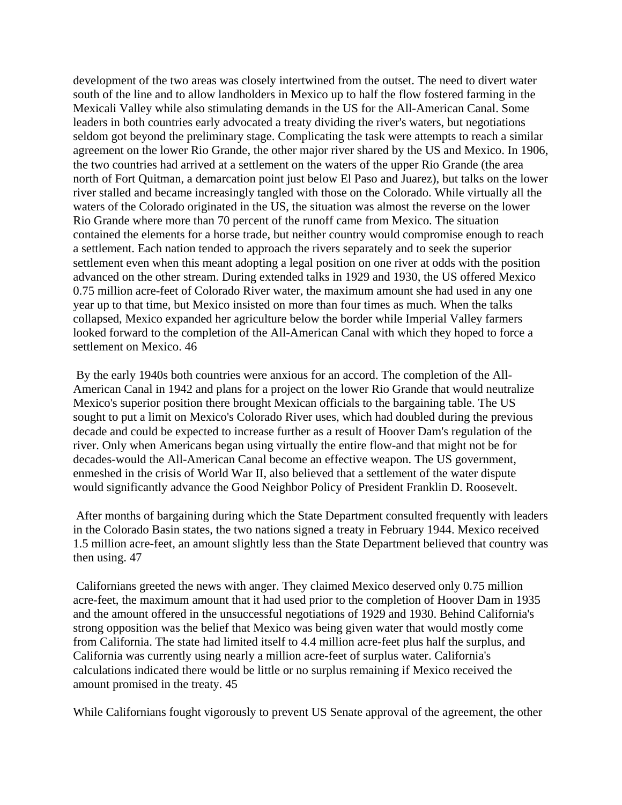development of the two areas was closely intertwined from the outset. The need to divert water south of the line and to allow landholders in Mexico up to half the flow fostered farming in the Mexicali Valley while also stimulating demands in the US for the All-American Canal. Some leaders in both countries early advocated a treaty dividing the river's waters, but negotiations seldom got beyond the preliminary stage. Complicating the task were attempts to reach a similar agreement on the lower Rio Grande, the other major river shared by the US and Mexico. In 1906, the two countries had arrived at a settlement on the waters of the upper Rio Grande (the area north of Fort Quitman, a demarcation point just below El Paso and Juarez), but talks on the lower river stalled and became increasingly tangled with those on the Colorado. While virtually all the waters of the Colorado originated in the US, the situation was almost the reverse on the lower Rio Grande where more than 70 percent of the runoff came from Mexico. The situation contained the elements for a horse trade, but neither country would compromise enough to reach a settlement. Each nation tended to approach the rivers separately and to seek the superior settlement even when this meant adopting a legal position on one river at odds with the position advanced on the other stream. During extended talks in 1929 and 1930, the US offered Mexico 0.75 million acre-feet of Colorado River water, the maximum amount she had used in any one year up to that time, but Mexico insisted on more than four times as much. When the talks collapsed, Mexico expanded her agriculture below the border while Imperial Valley farmers looked forward to the completion of the All-American Canal with which they hoped to force a settlement on Mexico. 46

 By the early 1940s both countries were anxious for an accord. The completion of the All-American Canal in 1942 and plans for a project on the lower Rio Grande that would neutralize Mexico's superior position there brought Mexican officials to the bargaining table. The US sought to put a limit on Mexico's Colorado River uses, which had doubled during the previous decade and could be expected to increase further as a result of Hoover Dam's regulation of the river. Only when Americans began using virtually the entire flow-and that might not be for decades-would the All-American Canal become an effective weapon. The US government, enmeshed in the crisis of World War II, also believed that a settlement of the water dispute would significantly advance the Good Neighbor Policy of President Franklin D. Roosevelt.

 After months of bargaining during which the State Department consulted frequently with leaders in the Colorado Basin states, the two nations signed a treaty in February 1944. Mexico received 1.5 million acre-feet, an amount slightly less than the State Department believed that country was then using. 47

 Californians greeted the news with anger. They claimed Mexico deserved only 0.75 million acre-feet, the maximum amount that it had used prior to the completion of Hoover Dam in 1935 and the amount offered in the unsuccessful negotiations of 1929 and 1930. Behind California's strong opposition was the belief that Mexico was being given water that would mostly come from California. The state had limited itself to 4.4 million acre-feet plus half the surplus, and California was currently using nearly a million acre-feet of surplus water. California's calculations indicated there would be little or no surplus remaining if Mexico received the amount promised in the treaty. 45

While Californians fought vigorously to prevent US Senate approval of the agreement, the other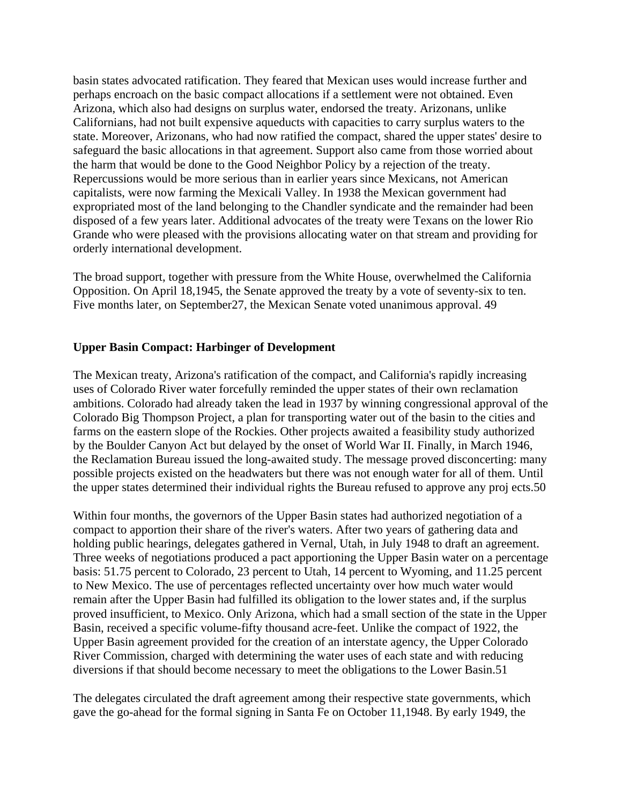basin states advocated ratification. They feared that Mexican uses would increase further and perhaps encroach on the basic compact allocations if a settlement were not obtained. Even Arizona, which also had designs on surplus water, endorsed the treaty. Arizonans, unlike Californians, had not built expensive aqueducts with capacities to carry surplus waters to the state. Moreover, Arizonans, who had now ratified the compact, shared the upper states' desire to safeguard the basic allocations in that agreement. Support also came from those worried about the harm that would be done to the Good Neighbor Policy by a rejection of the treaty. Repercussions would be more serious than in earlier years since Mexicans, not American capitalists, were now farming the Mexicali Valley. In 1938 the Mexican government had expropriated most of the land belonging to the Chandler syndicate and the remainder had been disposed of a few years later. Additional advocates of the treaty were Texans on the lower Rio Grande who were pleased with the provisions allocating water on that stream and providing for orderly international development.

The broad support, together with pressure from the White House, overwhelmed the California Opposition. On April 18,1945, the Senate approved the treaty by a vote of seventy-six to ten. Five months later, on September27, the Mexican Senate voted unanimous approval. 49

## **Upper Basin Compact: Harbinger of Development**

The Mexican treaty, Arizona's ratification of the compact, and California's rapidly increasing uses of Colorado River water forcefully reminded the upper states of their own reclamation ambitions. Colorado had already taken the lead in 1937 by winning congressional approval of the Colorado Big Thompson Project, a plan for transporting water out of the basin to the cities and farms on the eastern slope of the Rockies. Other projects awaited a feasibility study authorized by the Boulder Canyon Act but delayed by the onset of World War II. Finally, in March 1946, the Reclamation Bureau issued the long-awaited study. The message proved disconcerting: many possible projects existed on the headwaters but there was not enough water for all of them. Until the upper states determined their individual rights the Bureau refused to approve any proj ects.50

Within four months, the governors of the Upper Basin states had authorized negotiation of a compact to apportion their share of the river's waters. After two years of gathering data and holding public hearings, delegates gathered in Vernal, Utah, in July 1948 to draft an agreement. Three weeks of negotiations produced a pact apportioning the Upper Basin water on a percentage basis: 51.75 percent to Colorado, 23 percent to Utah, 14 percent to Wyoming, and 11.25 percent to New Mexico. The use of percentages reflected uncertainty over how much water would remain after the Upper Basin had fulfilled its obligation to the lower states and, if the surplus proved insufficient, to Mexico. Only Arizona, which had a small section of the state in the Upper Basin, received a specific volume-fifty thousand acre-feet. Unlike the compact of 1922, the Upper Basin agreement provided for the creation of an interstate agency, the Upper Colorado River Commission, charged with determining the water uses of each state and with reducing diversions if that should become necessary to meet the obligations to the Lower Basin.51

The delegates circulated the draft agreement among their respective state governments, which gave the go-ahead for the formal signing in Santa Fe on October 11,1948. By early 1949, the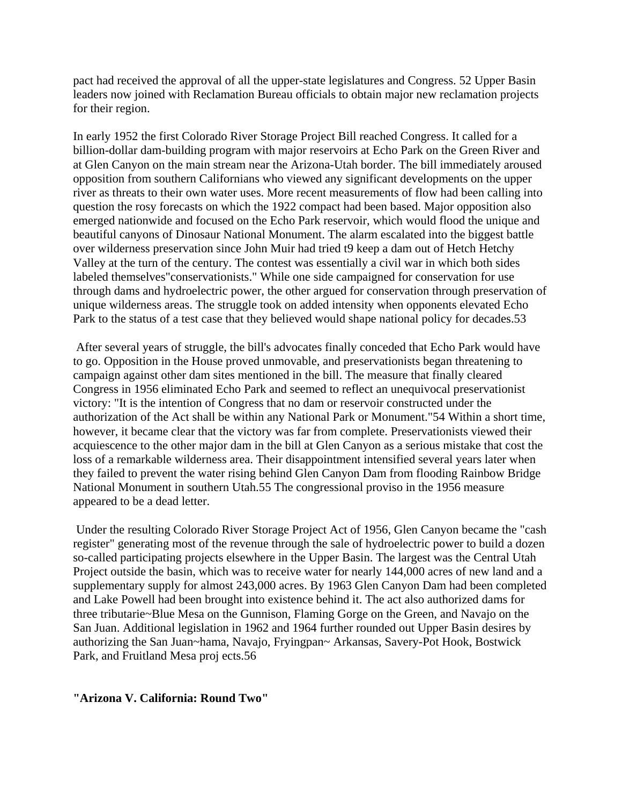pact had received the approval of all the upper-state legislatures and Congress. 52 Upper Basin leaders now joined with Reclamation Bureau officials to obtain major new reclamation projects for their region.

In early 1952 the first Colorado River Storage Project Bill reached Congress. It called for a billion-dollar dam-building program with major reservoirs at Echo Park on the Green River and at Glen Canyon on the main stream near the Arizona-Utah border. The bill immediately aroused opposition from southern Californians who viewed any significant developments on the upper river as threats to their own water uses. More recent measurements of flow had been calling into question the rosy forecasts on which the 1922 compact had been based. Major opposition also emerged nationwide and focused on the Echo Park reservoir, which would flood the unique and beautiful canyons of Dinosaur National Monument. The alarm escalated into the biggest battle over wilderness preservation since John Muir had tried t9 keep a dam out of Hetch Hetchy Valley at the turn of the century. The contest was essentially a civil war in which both sides labeled themselves"conservationists." While one side campaigned for conservation for use through dams and hydroelectric power, the other argued for conservation through preservation of unique wilderness areas. The struggle took on added intensity when opponents elevated Echo Park to the status of a test case that they believed would shape national policy for decades.53

 After several years of struggle, the bill's advocates finally conceded that Echo Park would have to go. Opposition in the House proved unmovable, and preservationists began threatening to campaign against other dam sites mentioned in the bill. The measure that finally cleared Congress in 1956 eliminated Echo Park and seemed to reflect an unequivocal preservationist victory: "It is the intention of Congress that no dam or reservoir constructed under the authorization of the Act shall be within any National Park or Monument."54 Within a short time, however, it became clear that the victory was far from complete. Preservationists viewed their acquiescence to the other major dam in the bill at Glen Canyon as a serious mistake that cost the loss of a remarkable wilderness area. Their disappointment intensified several years later when they failed to prevent the water rising behind Glen Canyon Dam from flooding Rainbow Bridge National Monument in southern Utah.55 The congressional proviso in the 1956 measure appeared to be a dead letter.

 Under the resulting Colorado River Storage Project Act of 1956, Glen Canyon became the "cash register" generating most of the revenue through the sale of hydroelectric power to build a dozen so-called participating projects elsewhere in the Upper Basin. The largest was the Central Utah Project outside the basin, which was to receive water for nearly 144,000 acres of new land and a supplementary supply for almost 243,000 acres. By 1963 Glen Canyon Dam had been completed and Lake Powell had been brought into existence behind it. The act also authorized dams for three tributarie~Blue Mesa on the Gunnison, Flaming Gorge on the Green, and Navajo on the San Juan. Additional legislation in 1962 and 1964 further rounded out Upper Basin desires by authorizing the San Juan~hama, Navajo, Fryingpan~ Arkansas, Savery-Pot Hook, Bostwick Park, and Fruitland Mesa proj ects.56

## **"Arizona V. California: Round Two"**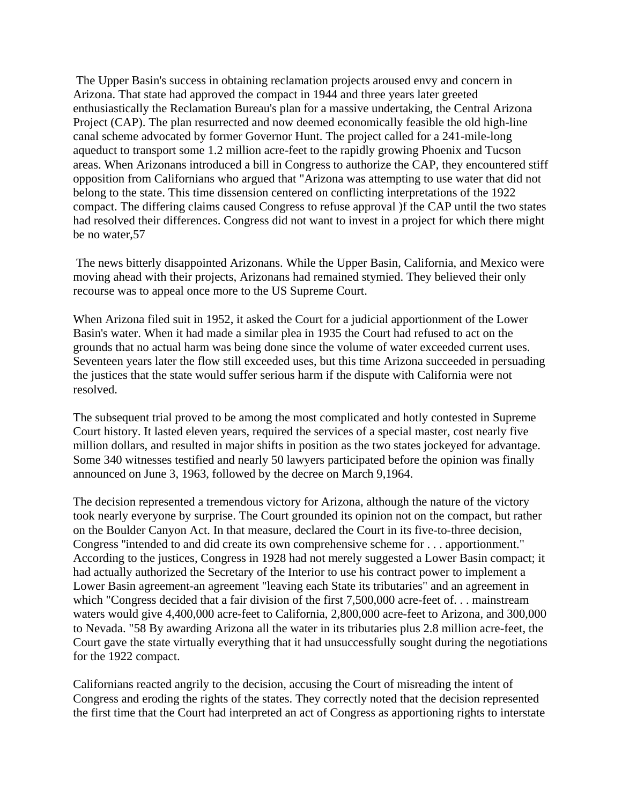The Upper Basin's success in obtaining reclamation projects aroused envy and concern in Arizona. That state had approved the compact in 1944 and three years later greeted enthusiastically the Reclamation Bureau's plan for a massive undertaking, the Central Arizona Project (CAP). The plan resurrected and now deemed economically feasible the old high-line canal scheme advocated by former Governor Hunt. The project called for a 241-mile-long aqueduct to transport some 1.2 million acre-feet to the rapidly growing Phoenix and Tucson areas. When Arizonans introduced a bill in Congress to authorize the CAP, they encountered stiff opposition from Californians who argued that "Arizona was attempting to use water that did not belong to the state. This time dissension centered on conflicting interpretations of the 1922 compact. The differing claims caused Congress to refuse approval )f the CAP until the two states had resolved their differences. Congress did not want to invest in a project for which there might be no water,57

 The news bitterly disappointed Arizonans. While the Upper Basin, California, and Mexico were moving ahead with their projects, Arizonans had remained stymied. They believed their only recourse was to appeal once more to the US Supreme Court.

When Arizona filed suit in 1952, it asked the Court for a judicial apportionment of the Lower Basin's water. When it had made a similar plea in 1935 the Court had refused to act on the grounds that no actual harm was being done since the volume of water exceeded current uses. Seventeen years later the flow still exceeded uses, but this time Arizona succeeded in persuading the justices that the state would suffer serious harm if the dispute with California were not resolved.

The subsequent trial proved to be among the most complicated and hotly contested in Supreme Court history. It lasted eleven years, required the services of a special master, cost nearly five million dollars, and resulted in major shifts in position as the two states jockeyed for advantage. Some 340 witnesses testified and nearly 50 lawyers participated before the opinion was finally announced on June 3, 1963, followed by the decree on March 9,1964.

The decision represented a tremendous victory for Arizona, although the nature of the victory took nearly everyone by surprise. The Court grounded its opinion not on the compact, but rather on the Boulder Canyon Act. In that measure, declared the Court in its five-to-three decision, Congress ''intended to and did create its own comprehensive scheme for . . . apportionment." According to the justices, Congress in 1928 had not merely suggested a Lower Basin compact; it had actually authorized the Secretary of the Interior to use his contract power to implement a Lower Basin agreement-an agreement "leaving each State its tributaries" and an agreement in which "Congress decided that a fair division of the first 7,500,000 acre-feet of. . . mainstream waters would give 4,400,000 acre-feet to California, 2,800,000 acre-feet to Arizona, and 300,000 to Nevada. "58 By awarding Arizona all the water in its tributaries plus 2.8 million acre-feet, the Court gave the state virtually everything that it had unsuccessfully sought during the negotiations for the 1922 compact.

Californians reacted angrily to the decision, accusing the Court of misreading the intent of Congress and eroding the rights of the states. They correctly noted that the decision represented the first time that the Court had interpreted an act of Congress as apportioning rights to interstate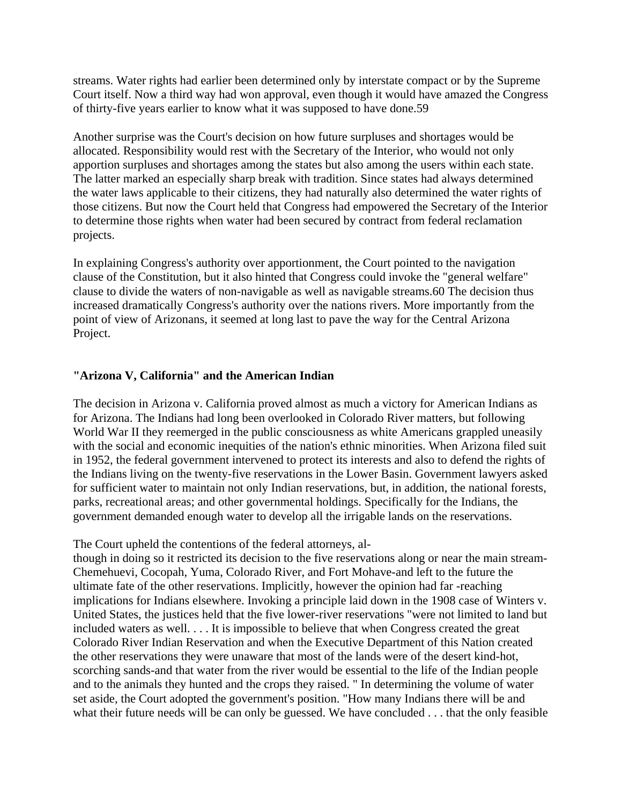streams. Water rights had earlier been determined only by interstate compact or by the Supreme Court itself. Now a third way had won approval, even though it would have amazed the Congress of thirty-five years earlier to know what it was supposed to have done.59

Another surprise was the Court's decision on how future surpluses and shortages would be allocated. Responsibility would rest with the Secretary of the Interior, who would not only apportion surpluses and shortages among the states but also among the users within each state. The latter marked an especially sharp break with tradition. Since states had always determined the water laws applicable to their citizens, they had naturally also determined the water rights of those citizens. But now the Court held that Congress had empowered the Secretary of the Interior to determine those rights when water had been secured by contract from federal reclamation projects.

In explaining Congress's authority over apportionment, the Court pointed to the navigation clause of the Constitution, but it also hinted that Congress could invoke the "general welfare" clause to divide the waters of non-navigable as well as navigable streams.60 The decision thus increased dramatically Congress's authority over the nations rivers. More importantly from the point of view of Arizonans, it seemed at long last to pave the way for the Central Arizona Project.

# **"Arizona V, California" and the American Indian**

The decision in Arizona v. California proved almost as much a victory for American Indians as for Arizona. The Indians had long been overlooked in Colorado River matters, but following World War II they reemerged in the public consciousness as white Americans grappled uneasily with the social and economic inequities of the nation's ethnic minorities. When Arizona filed suit in 1952, the federal government intervened to protect its interests and also to defend the rights of the Indians living on the twenty-five reservations in the Lower Basin. Government lawyers asked for sufficient water to maintain not only Indian reservations, but, in addition, the national forests, parks, recreational areas; and other governmental holdings. Specifically for the Indians, the government demanded enough water to develop all the irrigable lands on the reservations.

The Court upheld the contentions of the federal attorneys, al-

though in doing so it restricted its decision to the five reservations along or near the main stream-Chemehuevi, Cocopah, Yuma, Colorado River, and Fort Mohave-and left to the future the ultimate fate of the other reservations. Implicitly, however the opinion had far -reaching implications for Indians elsewhere. Invoking a principle laid down in the 1908 case of Winters v. United States, the justices held that the five lower-river reservations "were not limited to land but included waters as well. . . . It is impossible to believe that when Congress created the great Colorado River Indian Reservation and when the Executive Department of this Nation created the other reservations they were unaware that most of the lands were of the desert kind-hot, scorching sands-and that water from the river would be essential to the life of the Indian people and to the animals they hunted and the crops they raised. " In determining the volume of water set aside, the Court adopted the government's position. "How many Indians there will be and what their future needs will be can only be guessed. We have concluded . . . that the only feasible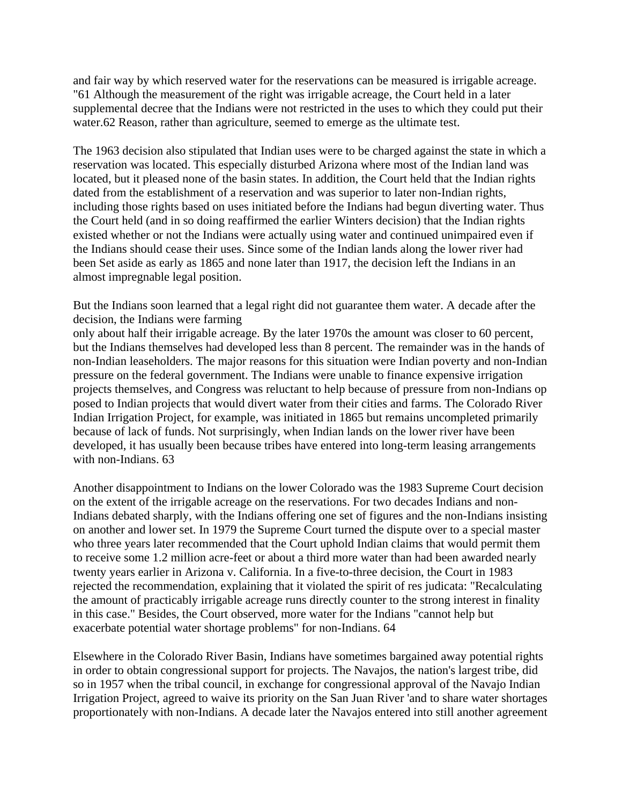and fair way by which reserved water for the reservations can be measured is irrigable acreage. "61 Although the measurement of the right was irrigable acreage, the Court held in a later supplemental decree that the Indians were not restricted in the uses to which they could put their water.62 Reason, rather than agriculture, seemed to emerge as the ultimate test.

The 1963 decision also stipulated that Indian uses were to be charged against the state in which a reservation was located. This especially disturbed Arizona where most of the Indian land was located, but it pleased none of the basin states. In addition, the Court held that the Indian rights dated from the establishment of a reservation and was superior to later non-Indian rights, including those rights based on uses initiated before the Indians had begun diverting water. Thus the Court held (and in so doing reaffirmed the earlier Winters decision) that the Indian rights existed whether or not the Indians were actually using water and continued unimpaired even if the Indians should cease their uses. Since some of the Indian lands along the lower river had been Set aside as early as 1865 and none later than 1917, the decision left the Indians in an almost impregnable legal position.

But the Indians soon learned that a legal right did not guarantee them water. A decade after the decision, the Indians were farming

only about half their irrigable acreage. By the later 1970s the amount was closer to 60 percent, but the Indians themselves had developed less than 8 percent. The remainder was in the hands of non-Indian leaseholders. The major reasons for this situation were Indian poverty and non-Indian pressure on the federal government. The Indians were unable to finance expensive irrigation projects themselves, and Congress was reluctant to help because of pressure from non-Indians op posed to Indian projects that would divert water from their cities and farms. The Colorado River Indian Irrigation Project, for example, was initiated in 1865 but remains uncompleted primarily because of lack of funds. Not surprisingly, when Indian lands on the lower river have been developed, it has usually been because tribes have entered into long-term leasing arrangements with non-Indians. 63

Another disappointment to Indians on the lower Colorado was the 1983 Supreme Court decision on the extent of the irrigable acreage on the reservations. For two decades Indians and non-Indians debated sharply, with the Indians offering one set of figures and the non-Indians insisting on another and lower set. In 1979 the Supreme Court turned the dispute over to a special master who three years later recommended that the Court uphold Indian claims that would permit them to receive some 1.2 million acre-feet or about a third more water than had been awarded nearly twenty years earlier in Arizona v. California. In a five-to-three decision, the Court in 1983 rejected the recommendation, explaining that it violated the spirit of res judicata: "Recalculating the amount of practicably irrigable acreage runs directly counter to the strong interest in finality in this case." Besides, the Court observed, more water for the Indians "cannot help but exacerbate potential water shortage problems" for non-Indians. 64

Elsewhere in the Colorado River Basin, Indians have sometimes bargained away potential rights in order to obtain congressional support for projects. The Navajos, the nation's largest tribe, did so in 1957 when the tribal council, in exchange for congressional approval of the Navajo Indian Irrigation Project, agreed to waive its priority on the San Juan River 'and to share water shortages proportionately with non-Indians. A decade later the Navajos entered into still another agreement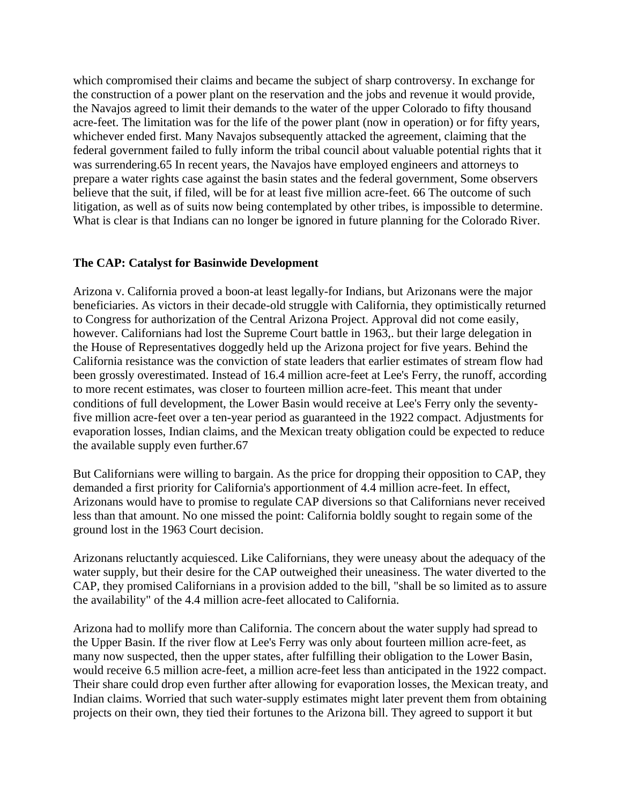which compromised their claims and became the subject of sharp controversy. In exchange for the construction of a power plant on the reservation and the jobs and revenue it would provide, the Navajos agreed to limit their demands to the water of the upper Colorado to fifty thousand acre-feet. The limitation was for the life of the power plant (now in operation) or for fifty years, whichever ended first. Many Navajos subsequently attacked the agreement, claiming that the federal government failed to fully inform the tribal council about valuable potential rights that it was surrendering.65 In recent years, the Navajos have employed engineers and attorneys to prepare a water rights case against the basin states and the federal government, Some observers believe that the suit, if filed, will be for at least five million acre-feet. 66 The outcome of such litigation, as well as of suits now being contemplated by other tribes, is impossible to determine. What is clear is that Indians can no longer be ignored in future planning for the Colorado River.

## **The CAP: Catalyst for Basinwide Development**

Arizona v. California proved a boon-at least legally-for Indians, but Arizonans were the major beneficiaries. As victors in their decade-old struggle with California, they optimistically returned to Congress for authorization of the Central Arizona Project. Approval did not come easily, however. Californians had lost the Supreme Court battle in 1963, but their large delegation in the House of Representatives doggedly held up the Arizona project for five years. Behind the California resistance was the conviction of state leaders that earlier estimates of stream flow had been grossly overestimated. Instead of 16.4 million acre-feet at Lee's Ferry, the runoff, according to more recent estimates, was closer to fourteen million acre-feet. This meant that under conditions of full development, the Lower Basin would receive at Lee's Ferry only the seventyfive million acre-feet over a ten-year period as guaranteed in the 1922 compact. Adjustments for evaporation losses, Indian claims, and the Mexican treaty obligation could be expected to reduce the available supply even further.67

But Californians were willing to bargain. As the price for dropping their opposition to CAP, they demanded a first priority for California's apportionment of 4.4 million acre-feet. In effect, Arizonans would have to promise to regulate CAP diversions so that Californians never received less than that amount. No one missed the point: California boldly sought to regain some of the ground lost in the 1963 Court decision.

Arizonans reluctantly acquiesced. Like Californians, they were uneasy about the adequacy of the water supply, but their desire for the CAP outweighed their uneasiness. The water diverted to the CAP, they promised Californians in a provision added to the bill, "shall be so limited as to assure the availability" of the 4.4 million acre-feet allocated to California.

Arizona had to mollify more than California. The concern about the water supply had spread to the Upper Basin. If the river flow at Lee's Ferry was only about fourteen million acre-feet, as many now suspected, then the upper states, after fulfilling their obligation to the Lower Basin, would receive 6.5 million acre-feet, a million acre-feet less than anticipated in the 1922 compact. Their share could drop even further after allowing for evaporation losses, the Mexican treaty, and Indian claims. Worried that such water-supply estimates might later prevent them from obtaining projects on their own, they tied their fortunes to the Arizona bill. They agreed to support it but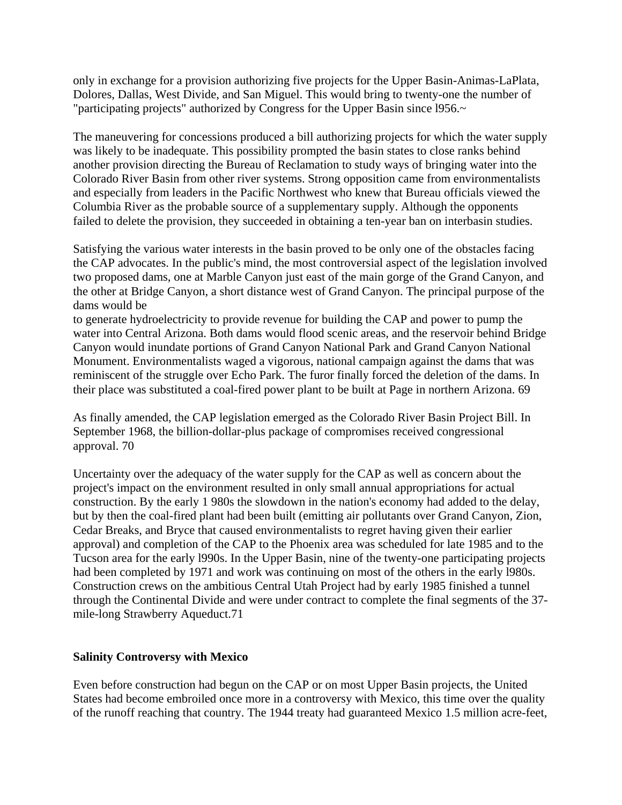only in exchange for a provision authorizing five projects for the Upper Basin-Animas-LaPlata, Dolores, Dallas, West Divide, and San Miguel. This would bring to twenty-one the number of "participating projects" authorized by Congress for the Upper Basin since l956.~

The maneuvering for concessions produced a bill authorizing projects for which the water supply was likely to be inadequate. This possibility prompted the basin states to close ranks behind another provision directing the Bureau of Reclamation to study ways of bringing water into the Colorado River Basin from other river systems. Strong opposition came from environmentalists and especially from leaders in the Pacific Northwest who knew that Bureau officials viewed the Columbia River as the probable source of a supplementary supply. Although the opponents failed to delete the provision, they succeeded in obtaining a ten-year ban on interbasin studies.

Satisfying the various water interests in the basin proved to be only one of the obstacles facing the CAP advocates. In the public's mind, the most controversial aspect of the legislation involved two proposed dams, one at Marble Canyon just east of the main gorge of the Grand Canyon, and the other at Bridge Canyon, a short distance west of Grand Canyon. The principal purpose of the dams would be

to generate hydroelectricity to provide revenue for building the CAP and power to pump the water into Central Arizona. Both dams would flood scenic areas, and the reservoir behind Bridge Canyon would inundate portions of Grand Canyon National Park and Grand Canyon National Monument. Environmentalists waged a vigorous, national campaign against the dams that was reminiscent of the struggle over Echo Park. The furor finally forced the deletion of the dams. In their place was substituted a coal-fired power plant to be built at Page in northern Arizona. 69

As finally amended, the CAP legislation emerged as the Colorado River Basin Project Bill. In September 1968, the billion-dollar-plus package of compromises received congressional approval. 70

Uncertainty over the adequacy of the water supply for the CAP as well as concern about the project's impact on the environment resulted in only small annual appropriations for actual construction. By the early 1 980s the slowdown in the nation's economy had added to the delay, but by then the coal-fired plant had been built (emitting air pollutants over Grand Canyon, Zion, Cedar Breaks, and Bryce that caused environmentalists to regret having given their earlier approval) and completion of the CAP to the Phoenix area was scheduled for late 1985 and to the Tucson area for the early l990s. In the Upper Basin, nine of the twenty-one participating projects had been completed by 1971 and work was continuing on most of the others in the early l980s. Construction crews on the ambitious Central Utah Project had by early 1985 finished a tunnel through the Continental Divide and were under contract to complete the final segments of the 37 mile-long Strawberry Aqueduct.71

# **Salinity Controversy with Mexico**

Even before construction had begun on the CAP or on most Upper Basin projects, the United States had become embroiled once more in a controversy with Mexico, this time over the quality of the runoff reaching that country. The 1944 treaty had guaranteed Mexico 1.5 million acre-feet,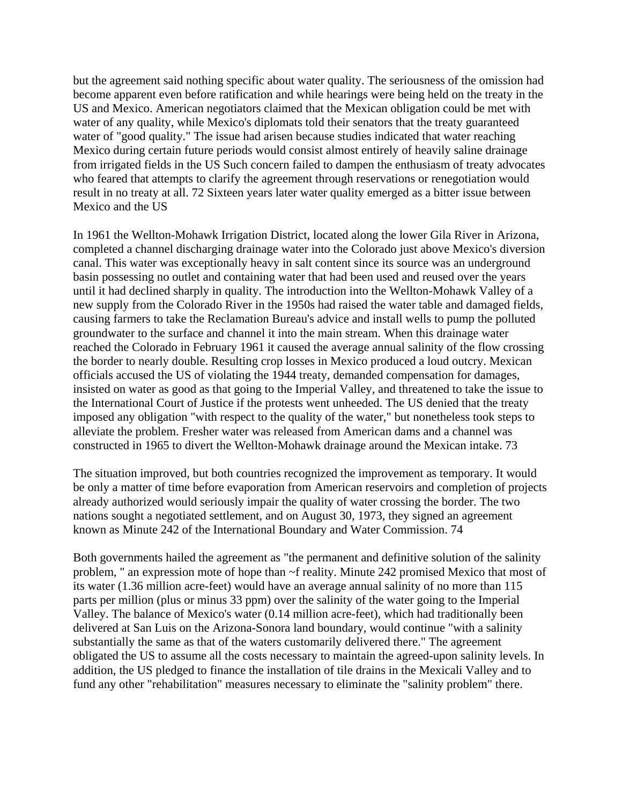but the agreement said nothing specific about water quality. The seriousness of the omission had become apparent even before ratification and while hearings were being held on the treaty in the US and Mexico. American negotiators claimed that the Mexican obligation could be met with water of any quality, while Mexico's diplomats told their senators that the treaty guaranteed water of "good quality." The issue had arisen because studies indicated that water reaching Mexico during certain future periods would consist almost entirely of heavily saline drainage from irrigated fields in the US Such concern failed to dampen the enthusiasm of treaty advocates who feared that attempts to clarify the agreement through reservations or renegotiation would result in no treaty at all. 72 Sixteen years later water quality emerged as a bitter issue between Mexico and the US

In 1961 the Wellton-Mohawk Irrigation District, located along the lower Gila River in Arizona, completed a channel discharging drainage water into the Colorado just above Mexico's diversion canal. This water was exceptionally heavy in salt content since its source was an underground basin possessing no outlet and containing water that had been used and reused over the years until it had declined sharply in quality. The introduction into the Wellton-Mohawk Valley of a new supply from the Colorado River in the 1950s had raised the water table and damaged fields, causing farmers to take the Reclamation Bureau's advice and install wells to pump the polluted groundwater to the surface and channel it into the main stream. When this drainage water reached the Colorado in February 1961 it caused the average annual salinity of the flow crossing the border to nearly double. Resulting crop losses in Mexico produced a loud outcry. Mexican officials accused the US of violating the 1944 treaty, demanded compensation for damages, insisted on water as good as that going to the Imperial Valley, and threatened to take the issue to the International Court of Justice if the protests went unheeded. The US denied that the treaty imposed any obligation "with respect to the quality of the water," but nonetheless took steps to alleviate the problem. Fresher water was released from American dams and a channel was constructed in 1965 to divert the Wellton-Mohawk drainage around the Mexican intake. 73

The situation improved, but both countries recognized the improvement as temporary. It would be only a matter of time before evaporation from American reservoirs and completion of projects already authorized would seriously impair the quality of water crossing the border. The two nations sought a negotiated settlement, and on August 30, 1973, they signed an agreement known as Minute 242 of the International Boundary and Water Commission. 74

Both governments hailed the agreement as "the permanent and definitive solution of the salinity problem, " an expression mote of hope than ~f reality. Minute 242 promised Mexico that most of its water (1.36 million acre-feet) would have an average annual salinity of no more than 115 parts per million (plus or minus 33 ppm) over the salinity of the water going to the Imperial Valley. The balance of Mexico's water (0.14 million acre-feet), which had traditionally been delivered at San Luis on the Arizona-Sonora land boundary, would continue "with a salinity substantially the same as that of the waters customarily delivered there." The agreement obligated the US to assume all the costs necessary to maintain the agreed-upon salinity levels. In addition, the US pledged to finance the installation of tile drains in the Mexicali Valley and to fund any other "rehabilitation" measures necessary to eliminate the "salinity problem" there.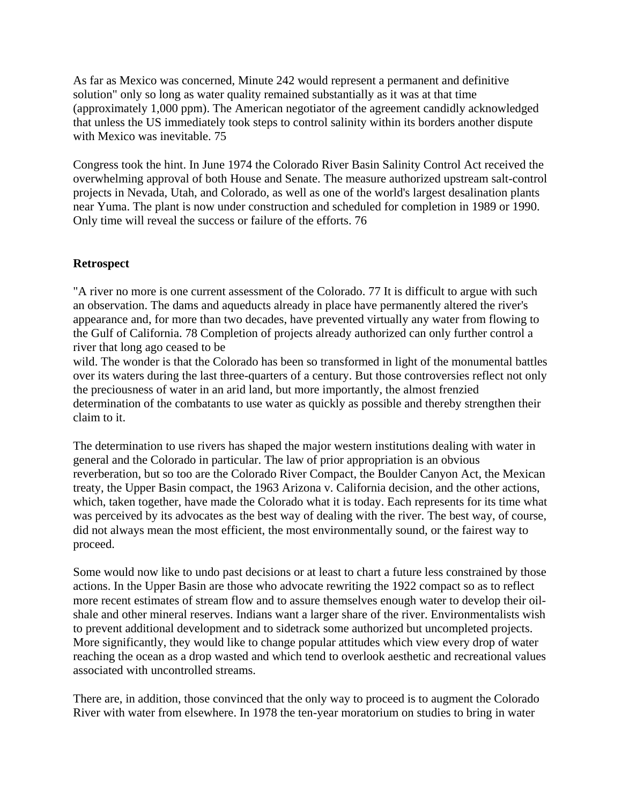As far as Mexico was concerned, Minute 242 would represent a permanent and definitive solution" only so long as water quality remained substantially as it was at that time (approximately 1,000 ppm). The American negotiator of the agreement candidly acknowledged that unless the US immediately took steps to control salinity within its borders another dispute with Mexico was inevitable. 75

Congress took the hint. In June 1974 the Colorado River Basin Salinity Control Act received the overwhelming approval of both House and Senate. The measure authorized upstream salt-control projects in Nevada, Utah, and Colorado, as well as one of the world's largest desalination plants near Yuma. The plant is now under construction and scheduled for completion in 1989 or 1990. Only time will reveal the success or failure of the efforts. 76

## **Retrospect**

"A river no more is one current assessment of the Colorado. 77 It is difficult to argue with such an observation. The dams and aqueducts already in place have permanently altered the river's appearance and, for more than two decades, have prevented virtually any water from flowing to the Gulf of California. 78 Completion of projects already authorized can only further control a river that long ago ceased to be

wild. The wonder is that the Colorado has been so transformed in light of the monumental battles over its waters during the last three-quarters of a century. But those controversies reflect not only the preciousness of water in an arid land, but more importantly, the almost frenzied determination of the combatants to use water as quickly as possible and thereby strengthen their claim to it.

The determination to use rivers has shaped the major western institutions dealing with water in general and the Colorado in particular. The law of prior appropriation is an obvious reverberation, but so too are the Colorado River Compact, the Boulder Canyon Act, the Mexican treaty, the Upper Basin compact, the 1963 Arizona v. California decision, and the other actions, which, taken together, have made the Colorado what it is today. Each represents for its time what was perceived by its advocates as the best way of dealing with the river. The best way, of course, did not always mean the most efficient, the most environmentally sound, or the fairest way to proceed.

Some would now like to undo past decisions or at least to chart a future less constrained by those actions. In the Upper Basin are those who advocate rewriting the 1922 compact so as to reflect more recent estimates of stream flow and to assure themselves enough water to develop their oilshale and other mineral reserves. Indians want a larger share of the river. Environmentalists wish to prevent additional development and to sidetrack some authorized but uncompleted projects. More significantly, they would like to change popular attitudes which view every drop of water reaching the ocean as a drop wasted and which tend to overlook aesthetic and recreational values associated with uncontrolled streams.

There are, in addition, those convinced that the only way to proceed is to augment the Colorado River with water from elsewhere. In 1978 the ten-year moratorium on studies to bring in water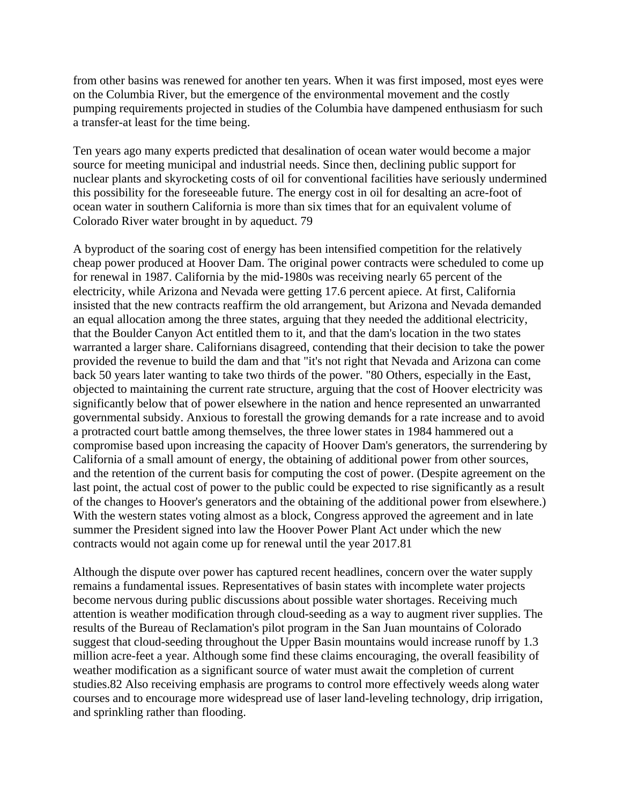from other basins was renewed for another ten years. When it was first imposed, most eyes were on the Columbia River, but the emergence of the environmental movement and the costly pumping requirements projected in studies of the Columbia have dampened enthusiasm for such a transfer-at least for the time being.

Ten years ago many experts predicted that desalination of ocean water would become a major source for meeting municipal and industrial needs. Since then, declining public support for nuclear plants and skyrocketing costs of oil for conventional facilities have seriously undermined this possibility for the foreseeable future. The energy cost in oil for desalting an acre-foot of ocean water in southern California is more than six times that for an equivalent volume of Colorado River water brought in by aqueduct. 79

A byproduct of the soaring cost of energy has been intensified competition for the relatively cheap power produced at Hoover Dam. The original power contracts were scheduled to come up for renewal in 1987. California by the mid-1980s was receiving nearly 65 percent of the electricity, while Arizona and Nevada were getting 17.6 percent apiece. At first, California insisted that the new contracts reaffirm the old arrangement, but Arizona and Nevada demanded an equal allocation among the three states, arguing that they needed the additional electricity, that the Boulder Canyon Act entitled them to it, and that the dam's location in the two states warranted a larger share. Californians disagreed, contending that their decision to take the power provided the revenue to build the dam and that "it's not right that Nevada and Arizona can come back 50 years later wanting to take two thirds of the power. "80 Others, especially in the East, objected to maintaining the current rate structure, arguing that the cost of Hoover electricity was significantly below that of power elsewhere in the nation and hence represented an unwarranted governmental subsidy. Anxious to forestall the growing demands for a rate increase and to avoid a protracted court battle among themselves, the three lower states in 1984 hammered out a compromise based upon increasing the capacity of Hoover Dam's generators, the surrendering by California of a small amount of energy, the obtaining of additional power from other sources, and the retention of the current basis for computing the cost of power. (Despite agreement on the last point, the actual cost of power to the public could be expected to rise significantly as a result of the changes to Hoover's generators and the obtaining of the additional power from elsewhere.) With the western states voting almost as a block, Congress approved the agreement and in late summer the President signed into law the Hoover Power Plant Act under which the new contracts would not again come up for renewal until the year 2017.81

Although the dispute over power has captured recent headlines, concern over the water supply remains a fundamental issues. Representatives of basin states with incomplete water projects become nervous during public discussions about possible water shortages. Receiving much attention is weather modification through cloud-seeding as a way to augment river supplies. The results of the Bureau of Reclamation's pilot program in the San Juan mountains of Colorado suggest that cloud-seeding throughout the Upper Basin mountains would increase runoff by 1.3 million acre-feet a year. Although some find these claims encouraging, the overall feasibility of weather modification as a significant source of water must await the completion of current studies.82 Also receiving emphasis are programs to control more effectively weeds along water courses and to encourage more widespread use of laser land-leveling technology, drip irrigation, and sprinkling rather than flooding.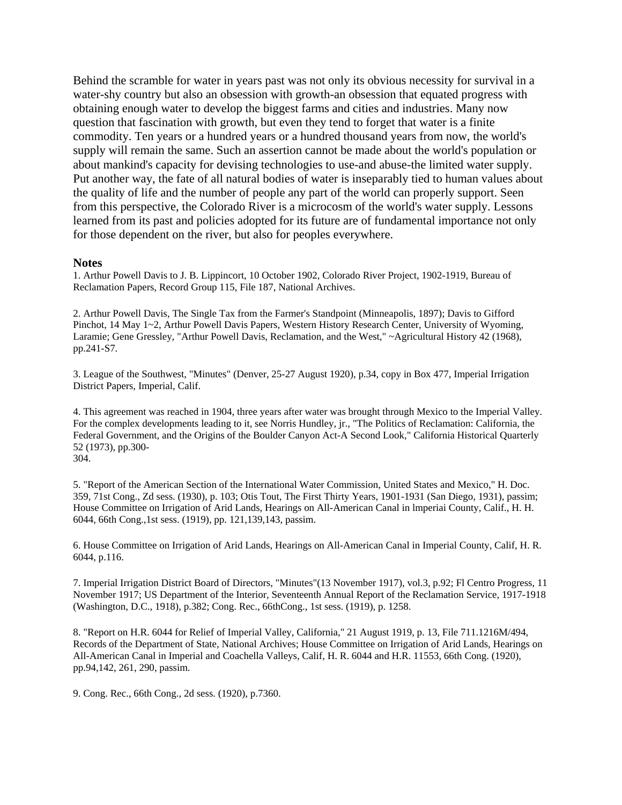Behind the scramble for water in years past was not only its obvious necessity for survival in a water-shy country but also an obsession with growth-an obsession that equated progress with obtaining enough water to develop the biggest farms and cities and industries. Many now question that fascination with growth, but even they tend to forget that water is a finite commodity. Ten years or a hundred years or a hundred thousand years from now, the world's supply will remain the same. Such an assertion cannot be made about the world's population or about mankind's capacity for devising technologies to use-and abuse-the limited water supply. Put another way, the fate of all natural bodies of water is inseparably tied to human values about the quality of life and the number of people any part of the world can properly support. Seen from this perspective, the Colorado River is a microcosm of the world's water supply. Lessons learned from its past and policies adopted for its future are of fundamental importance not only for those dependent on the river, but also for peoples everywhere.

**Notes** 1. Arthur Powell Davis to J. B. Lippincort, 10 October 1902, Colorado River Project, 1902-1919, Bureau of Reclamation Papers, Record Group 115, File 187, National Archives.

2. Arthur Powell Davis, The Single Tax from the Farmer's Standpoint (Minneapolis, 1897); Davis to Gifford Pinchot, 14 May 1~2, Arthur Powell Davis Papers, Western History Research Center, University of Wyoming, Laramie; Gene Gressley, "Arthur Powell Davis, Reclamation, and the West," ~Agricultural History 42 (1968), pp.241-S7.

3. League of the Southwest, "Minutes" (Denver, 25-27 August 1920), p.34, copy in Box 477, Imperial Irrigation District Papers, Imperial, Calif.

4. This agreement was reached in 1904, three years after water was brought through Mexico to the Imperial Valley. For the complex developments leading to it, see Norris Hundley, jr., "The Politics of Reclamation: California, the Federal Government, and the Origins of the Boulder Canyon Act-A Second Look," California Historical Quarterly 52 (1973), pp.300- 304.

5. "Report of the American Section of the International Water Commission, United States and Mexico," H. Doc. 359, 71st Cong., Zd sess. (1930), p. 103; Otis Tout, The First Thirty Years, 1901-1931 (San Diego, 1931), passim; House Committee on Irrigation of Arid Lands, Hearings on All-American Canal in lmperiai County, Calif., H. H. 6044, 66th Cong.,1st sess. (1919), pp. 121,139,143, passim.

6. House Committee on Irrigation of Arid Lands, Hearings on All-American Canal in Imperial County, Calif, H. R. 6044, p.116.

7. Imperial Irrigation District Board of Directors, "Minutes"(13 November 1917), vol.3, p.92; Fl Centro Progress, 11 November 1917; US Department of the Interior, Seventeenth Annual Report of the Reclamation Service, 1917-1918 (Washington, D.C., 1918), p.382; Cong. Rec., 66thCong., 1st sess. (1919), p. 1258.

8. "Report on H.R. 6044 for Relief of Imperial Valley, California," 21 August 1919, p. 13, File 711.1216M/494, Records of the Department of State, National Archives; House Committee on Irrigation of Arid Lands, Hearings on All-American Canal in Imperial and Coachella Valleys, Calif, H. R. 6044 and H.R. 11553, 66th Cong. (1920), pp.94,142, 261, 290, passim.

9. Cong. Rec., 66th Cong., 2d sess. (1920), p.7360.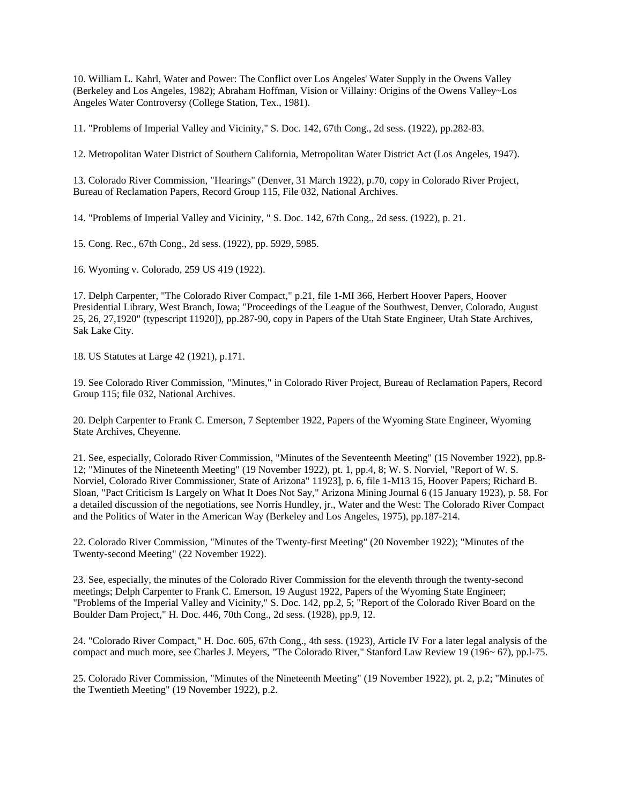10. William L. Kahrl, Water and Power: The Conflict over Los Angeles' Water Supply in the Owens Valley (Berkeley and Los Angeles, 1982); Abraham Hoffman, Vision or Villainy: Origins of the Owens Valley~Los Angeles Water Controversy (College Station, Tex., 1981).

11. "Problems of Imperial Valley and Vicinity," S. Doc. 142, 67th Cong., 2d sess. (1922), pp.282-83.

12. Metropolitan Water District of Southern California, Metropolitan Water District Act (Los Angeles, 1947).

13. Colorado River Commission, "Hearings" (Denver, 31 March 1922), p.70, copy in Colorado River Project, Bureau of Reclamation Papers, Record Group 115, File 032, National Archives.

14. "Problems of Imperial Valley and Vicinity, " S. Doc. 142, 67th Cong., 2d sess. (1922), p. 21.

15. Cong. Rec., 67th Cong., 2d sess. (1922), pp. 5929, 5985.

16. Wyoming v. Colorado, 259 US 419 (1922).

17. Delph Carpenter, "The Colorado River Compact," p.21, file 1-MI 366, Herbert Hoover Papers, Hoover Presidential Library, West Branch, Iowa; "Proceedings of the League of the Southwest, Denver, Colorado, August 25, 26, 27,1920" (typescript 11920]), pp.287-90, copy in Papers of the Utah State Engineer, Utah State Archives, Sak Lake City.

18. US Statutes at Large 42 (1921), p.171.

19. See Colorado River Commission, "Minutes," in Colorado River Project, Bureau of Reclamation Papers, Record Group 115; file 032, National Archives.

20. Delph Carpenter to Frank C. Emerson, 7 September 1922, Papers of the Wyoming State Engineer, Wyoming State Archives, Cheyenne.

21. See, especially, Colorado River Commission, "Minutes of the Seventeenth Meeting" (15 November 1922), pp.8- 12; "Minutes of the Nineteenth Meeting" (19 November 1922), pt. 1, pp.4, 8; W. S. Norviel, "Report of W. S. Norviel, Colorado River Commissioner, State of Arizona" 11923], p. 6, file 1-M13 15, Hoover Papers; Richard B. Sloan, "Pact Criticism Is Largely on What It Does Not Say," Arizona Mining Journal 6 (15 January 1923), p. 58. For a detailed discussion of the negotiations, see Norris Hundley, jr., Water and the West: The Colorado River Compact and the Politics of Water in the American Way (Berkeley and Los Angeles, 1975), pp.187-214.

22. Colorado River Commission, "Minutes of the Twenty-first Meeting" (20 November 1922); "Minutes of the Twenty-second Meeting" (22 November 1922).

23. See, especially, the minutes of the Colorado River Commission for the eleventh through the twenty-second meetings; Delph Carpenter to Frank C. Emerson, 19 August 1922, Papers of the Wyoming State Engineer; "Problems of the Imperial Valley and Vicinity," S. Doc. 142, pp.2, 5; "Report of the Colorado River Board on the Boulder Dam Project," H. Doc. 446, 70th Cong., 2d sess. (1928), pp.9, 12.

24. "Colorado River Compact," H. Doc. 605, 67th Cong., 4th sess. (1923), Article IV For a later legal analysis of the compact and much more, see Charles J. Meyers, "The Colorado River," Stanford Law Review 19 (196~ 67), pp.l-75.

25. Colorado River Commission, "Minutes of the Nineteenth Meeting" (19 November 1922), pt. 2, p.2; "Minutes of the Twentieth Meeting" (19 November 1922), p.2.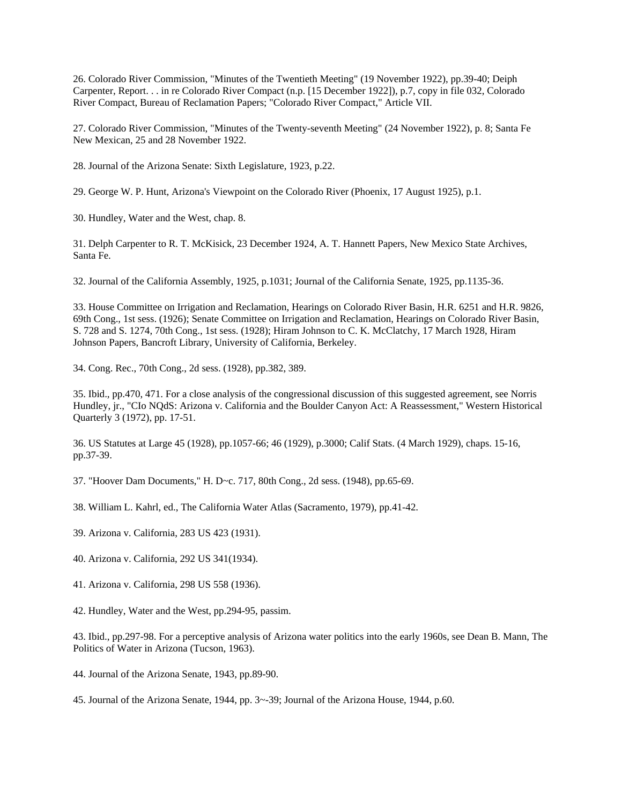26. Colorado River Commission, "Minutes of the Twentieth Meeting" (19 November 1922), pp.39-40; Deiph Carpenter, Report. . . in re Colorado River Compact (n.p. [15 December 1922]), p.7, copy in file 032, Colorado River Compact, Bureau of Reclamation Papers; "Colorado River Compact," Article VII.

27. Colorado River Commission, "Minutes of the Twenty-seventh Meeting" (24 November 1922), p. 8; Santa Fe New Mexican, 25 and 28 November 1922.

28. Journal of the Arizona Senate: Sixth Legislature, 1923, p.22.

29. George W. P. Hunt, Arizona's Viewpoint on the Colorado River (Phoenix, 17 August 1925), p.1.

30. Hundley, Water and the West, chap. 8.

31. Delph Carpenter to R. T. McKisick, 23 December 1924, A. T. Hannett Papers, New Mexico State Archives, Santa Fe.

32. Journal of the California Assembly, 1925, p.1031; Journal of the California Senate, 1925, pp.1135-36.

33. House Committee on Irrigation and Reclamation, Hearings on Colorado River Basin, H.R. 6251 and H.R. 9826, 69th Cong., 1st sess. (1926); Senate Committee on Irrigation and Reclamation, Hearings on Colorado River Basin, S. 728 and S. 1274, 70th Cong., 1st sess. (1928); Hiram Johnson to C. K. McClatchy, 17 March 1928, Hiram Johnson Papers, Bancroft Library, University of California, Berkeley.

34. Cong. Rec., 70th Cong., 2d sess. (1928), pp.382, 389.

35. Ibid., pp.470, 471. For a close analysis of the congressional discussion of this suggested agreement, see Norris Hundley, jr., "CIo NQdS: Arizona v. California and the Boulder Canyon Act: A Reassessment," Western Historical Quarterly 3 (1972), pp. 17-51.

36. US Statutes at Large 45 (1928), pp.1057-66; 46 (1929), p.3000; Calif Stats. (4 March 1929), chaps. 15-16, pp.37-39.

37. "Hoover Dam Documents," H. D~c. 717, 80th Cong., 2d sess. (1948), pp.65-69.

38. William L. Kahrl, ed., The California Water Atlas (Sacramento, 1979), pp.41-42.

39. Arizona v. California, 283 US 423 (1931).

- 40. Arizona v. California, 292 US 341(1934).
- 41. Arizona v. California, 298 US 558 (1936).
- 42. Hundley, Water and the West, pp.294-95, passim.

43. Ibid., pp.297-98. For a perceptive analysis of Arizona water politics into the early 1960s, see Dean B. Mann, The Politics of Water in Arizona (Tucson, 1963).

44. Journal of the Arizona Senate, 1943, pp.89-90.

45. Journal of the Arizona Senate, 1944, pp. 3~-39; Journal of the Arizona House, 1944, p.60.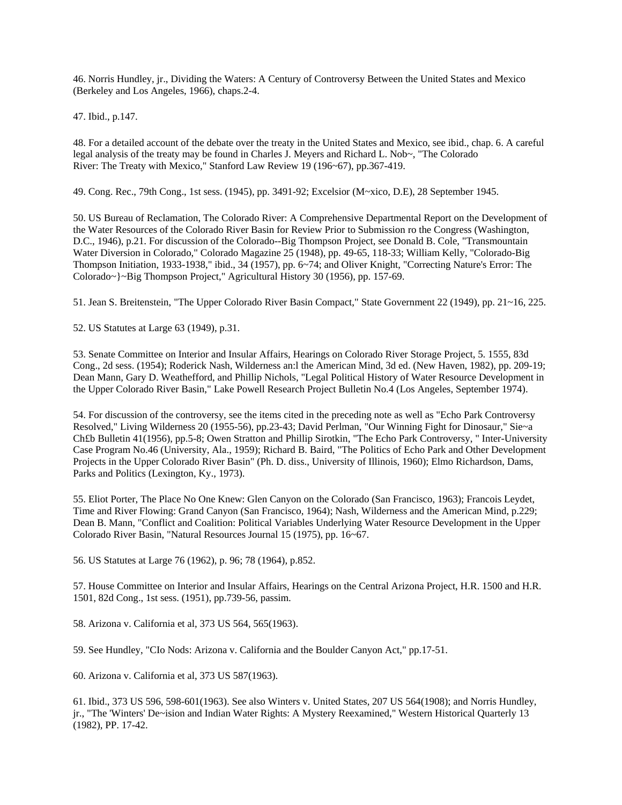46. Norris Hundley, jr., Dividing the Waters: A Century of Controversy Between the United States and Mexico (Berkeley and Los Angeles, 1966), chaps.2-4.

47. Ibid., p.147.

48. For a detailed account of the debate over the treaty in the United States and Mexico, see ibid., chap. 6. A careful legal analysis of the treaty may be found in Charles J. Meyers and Richard L. Nob~, "The Colorado River: The Treaty with Mexico," Stanford Law Review 19 (196~67), pp.367-419.

49. Cong. Rec., 79th Cong., 1st sess. (1945), pp. 3491-92; Excelsior (M~xico, D.E), 28 September 1945.

50. US Bureau of Reclamation, The Colorado River: A Comprehensive Departmental Report on the Development of the Water Resources of the Colorado River Basin for Review Prior to Submission ro the Congress (Washington, D.C., 1946), p.21. For discussion of the Colorado--Big Thompson Project, see Donald B. Cole, "Transmountain Water Diversion in Colorado," Colorado Magazine 25 (1948), pp. 49-65, 118-33; William Kelly, "Colorado-Big Thompson Initiation, 1933-1938," ibid., 34 (1957), pp. 6~74; and Oliver Knight, "Correcting Nature's Error: The Colorado~}~Big Thompson Project," Agricultural History 30 (1956), pp. 157-69.

51. Jean S. Breitenstein, "The Upper Colorado River Basin Compact," State Government 22 (1949), pp. 21~16, 225.

52. US Statutes at Large 63 (1949), p.31.

53. Senate Committee on Interior and Insular Affairs, Hearings on Colorado River Storage Project, 5. 1555, 83d Cong., 2d sess. (1954); Roderick Nash, Wilderness an:l the American Mind, 3d ed. (New Haven, 1982), pp. 209-19; Dean Mann, Gary D. Weathefford, and Phillip Nichols, "Legal Political History of Water Resource Development in the Upper Colorado River Basin," Lake Powell Research Project Bulletin No.4 (Los Angeles, September 1974).

54. For discussion of the controversy, see the items cited in the preceding note as well as "Echo Park Controversy Resolved," Living Wilderness 20 (1955-56), pp.23-43; David Perlman, "Our Winning Fight for Dinosaur," Sie~a Ch£b Bulletin 41(1956), pp.5-8; Owen Stratton and Phillip Sirotkin, "The Echo Park Controversy, " Inter-University Case Program No.46 (University, Ala., 1959); Richard B. Baird, "The Politics of Echo Park and Other Development Projects in the Upper Colorado River Basin" (Ph. D. diss., University of Illinois, 1960); Elmo Richardson, Dams, Parks and Politics (Lexington, Ky., 1973).

55. Eliot Porter, The Place No One Knew: Glen Canyon on the Colorado (San Francisco, 1963); Francois Leydet, Time and River Flowing: Grand Canyon (San Francisco, 1964); Nash, Wilderness and the American Mind, p.229; Dean B. Mann, "Conflict and Coalition: Political Variables Underlying Water Resource Development in the Upper Colorado River Basin, "Natural Resources Journal 15 (1975), pp. 16~67.

56. US Statutes at Large 76 (1962), p. 96; 78 (1964), p.852.

57. House Committee on Interior and Insular Affairs, Hearings on the Central Arizona Project, H.R. 1500 and H.R. 1501, 82d Cong., 1st sess. (1951), pp.739-56, passim.

58. Arizona v. California et al, 373 US 564, 565(1963).

59. See Hundley, "CIo Nods: Arizona v. California and the Boulder Canyon Act," pp.17-51.

60. Arizona v. California et al, 373 US 587(1963).

61. Ibid., 373 US 596, 598-601(1963). See also Winters v. United States, 207 US 564(1908); and Norris Hundley, jr., "The 'Winters' De~ision and Indian Water Rights: A Mystery Reexamined," Western Historical Quarterly 13 (1982), PP. 17-42.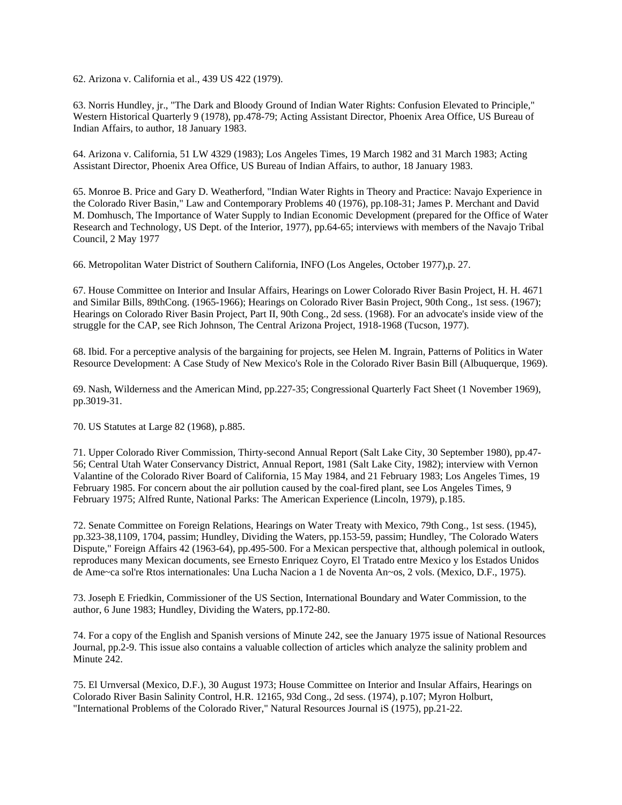62. Arizona v. California et al., 439 US 422 (1979).

63. Norris Hundley, jr., "The Dark and Bloody Ground of Indian Water Rights: Confusion Elevated to Principle," Western Historical Quarterly 9 (1978), pp.478-79; Acting Assistant Director, Phoenix Area Office, US Bureau of Indian Affairs, to author, 18 January 1983.

64. Arizona v. California, 51 LW 4329 (1983); Los Angeles Times, 19 March 1982 and 31 March 1983; Acting Assistant Director, Phoenix Area Office, US Bureau of Indian Affairs, to author, 18 January 1983.

65. Monroe B. Price and Gary D. Weatherford, "Indian Water Rights in Theory and Practice: Navajo Experience in the Colorado River Basin," Law and Contemporary Problems 40 (1976), pp.108-31; James P. Merchant and David M. Domhusch, The Importance of Water Supply to Indian Economic Development (prepared for the Office of Water Research and Technology, US Dept. of the Interior, 1977), pp.64-65; interviews with members of the Navajo Tribal Council, 2 May 1977

66. Metropolitan Water District of Southern California, INFO (Los Angeles, October 1977),p. 27.

67. House Committee on Interior and Insular Affairs, Hearings on Lower Colorado River Basin Project, H. H. 4671 and Similar Bills, 89thCong. (1965-1966); Hearings on Colorado River Basin Project, 90th Cong., 1st sess. (1967); Hearings on Colorado River Basin Project, Part II, 90th Cong., 2d sess. (1968). For an advocate's inside vie struggle for the CAP, see Rich Johnson, The Central Arizona Project, 1918-1968 (Tucson, 1977).

68. Ibid. For a perceptive analysis of the bargaining for projects, see Helen M. Ingrain, Patterns of Politics in Water Resource Development: A Case Study of New Mexico's Role in the Colorado River Basin Bill (Albuquerque, 1969).

69. Nash, Wilderness and the American Mind, pp.227-35; Congressional Quarterly Fact Sheet (1 November 1969), pp.3019-31.

70. US Statutes at Large 82 (1968), p.885.

71. Upper Colorado River Commission, Thirty-second Annual Report (Salt Lake City, 30 September 1980), pp.47- 56; Central Utah Water Conservancy District, Annual Report, 1981 (Salt Lake City, 1982); interview with Vernon Valantine of the Colorado River Board of California, 15 May 1984, and 21 February 1983; Los Angeles Times, 19 February 1985. For concern about the air pollution caused by the coal-fired plant, see Los Angeles Times, 9 February 1975; Alfred Runte, National Parks: The American Experience (Lincoln, 1979), p.185.

72. Senate Committee on Foreign Relations, Hearings on Water Treaty with Mexico, 79th Cong., 1st sess. (1945), pp.323-38,1109, 1704, passim; Hundley, Dividing the Waters, pp.153-59, passim; Hundley, 'The Colorado Waters Dispute," Foreign Affairs 42 (1963-64), pp.495-500. For a Mexican perspective that, although polemical in outlook, reproduces many Mexican documents, see Ernesto Enriquez Coyro, El Tratado entre Mexico y los Estados Unidos de Ame~ca sol're Rtos internationales: Una Lucha Nacion a 1 de Noventa An~os, 2 vols. (Mexico, D.F., 1975).

73. Joseph E Friedkin, Commissioner of the US Section, International Boundary and Water Commission, to the author, 6 June 1983; Hundley, Dividing the Waters, pp.172-80.

74. For a copy of the English and Spanish versions of Minute 242, see the January 1975 issue of National Resources Journal, pp.2-9. This issue also contains a valuable collection of articles which analyze the salinity problem and Minute 242.

75. El Urnversal (Mexico, D.F.), 30 August 1973; House Committee on Interior and Insular Affairs, Hearings on Colorado River Basin Salinity Control, H.R. 12165, 93d Cong., 2d sess. (1974), p.107; Myron Holburt, "International Problems of the Colorado River," Natural Resources Journal iS (1975), pp.21-22.